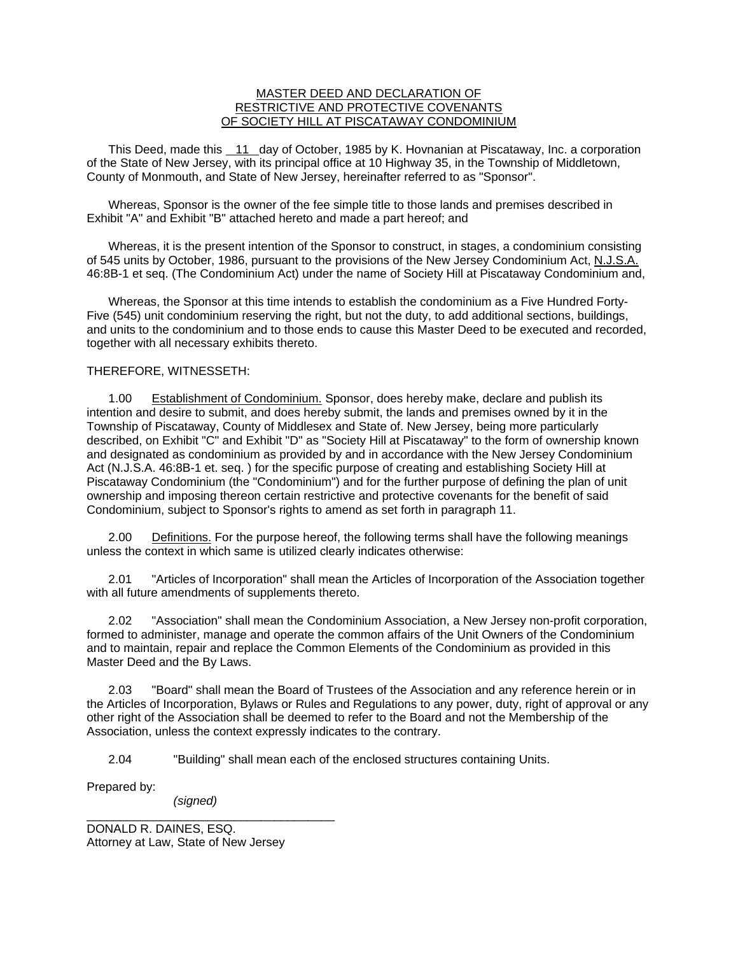## MASTER DEED AND DECLARATION OF RESTRICTIVE AND PROTECTIVE COVENANTS OF SOCIETY HILL AT PISCATAWAY CONDOMINIUM

 This Deed, made this 11 day of October, 1985 by K. Hovnanian at Piscataway, Inc. a corporation of the State of New Jersey, with its principal office at 10 Highway 35, in the Township of Middletown, County of Monmouth, and State of New Jersey, hereinafter referred to as "Sponsor".

 Whereas, Sponsor is the owner of the fee simple title to those lands and premises described in Exhibit "A" and Exhibit "B" attached hereto and made a part hereof; and

 Whereas, it is the present intention of the Sponsor to construct, in stages, a condominium consisting of 545 units by October, 1986, pursuant to the provisions of the New Jersey Condominium Act, N.J.S.A. 46:8B-1 et seq. (The Condominium Act) under the name of Society Hill at Piscataway Condominium and,

 Whereas, the Sponsor at this time intends to establish the condominium as a Five Hundred Forty-Five (545) unit condominium reserving the right, but not the duty, to add additional sections, buildings, and units to the condominium and to those ends to cause this Master Deed to be executed and recorded, together with all necessary exhibits thereto.

## THEREFORE, WITNESSETH:

 1.00 Establishment of Condominium. Sponsor, does hereby make, declare and publish its intention and desire to submit, and does hereby submit, the lands and premises owned by it in the Township of Piscataway, County of Middlesex and State of. New Jersey, being more particularly described, on Exhibit "C" and Exhibit "D" as "Society Hill at Piscataway" to the form of ownership known and designated as condominium as provided by and in accordance with the New Jersey Condominium Act (N.J.S.A. 46:8B-1 et. seq. ) for the specific purpose of creating and establishing Society Hill at Piscataway Condominium (the "Condominium") and for the further purpose of defining the plan of unit ownership and imposing thereon certain restrictive and protective covenants for the benefit of said Condominium, subject to Sponsor's rights to amend as set forth in paragraph 11.

 2.00 Definitions. For the purpose hereof, the following terms shall have the following meanings unless the context in which same is utilized clearly indicates otherwise:

 2.01 "Articles of Incorporation" shall mean the Articles of Incorporation of the Association together with all future amendments of supplements thereto.

 2.02 "Association" shall mean the Condominium Association, a New Jersey non-profit corporation, formed to administer, manage and operate the common affairs of the Unit Owners of the Condominium and to maintain, repair and replace the Common Elements of the Condominium as provided in this Master Deed and the By Laws.

 2.03 "Board" shall mean the Board of Trustees of the Association and any reference herein or in the Articles of Incorporation, Bylaws or Rules and Regulations to any power, duty, right of approval or any other right of the Association shall be deemed to refer to the Board and not the Membership of the Association, unless the context expressly indicates to the contrary.

2.04 "Building" shall mean each of the enclosed structures containing Units.

Prepared by:

 *(signed)* 

\_\_\_\_\_\_\_\_\_\_\_\_\_\_\_\_\_\_\_\_\_\_\_\_\_\_\_\_\_\_\_\_\_\_\_\_\_

DONALD R. DAINES, ESQ. Attorney at Law, State of New Jersey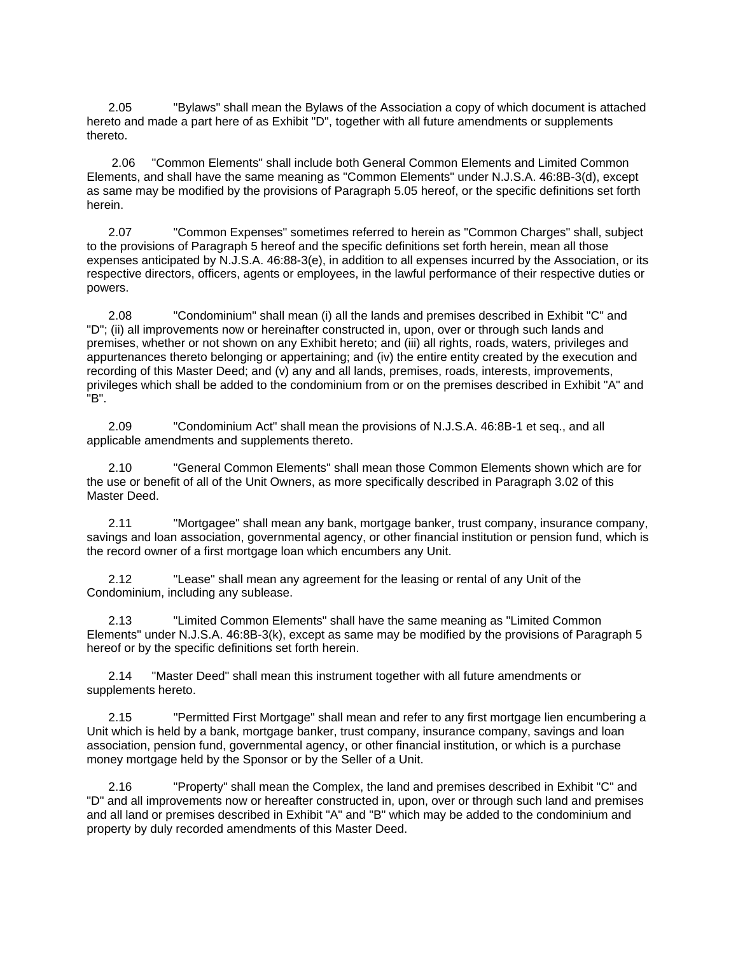2.05 "Bylaws" shall mean the Bylaws of the Association a copy of which document is attached hereto and made a part here of as Exhibit "D", together with all future amendments or supplements thereto.

 2.06 "Common Elements" shall include both General Common Elements and Limited Common Elements, and shall have the same meaning as "Common Elements" under N.J.S.A. 46:8B-3(d), except as same may be modified by the provisions of Paragraph 5.05 hereof, or the specific definitions set forth herein.

 2.07 "Common Expenses" sometimes referred to herein as "Common Charges" shall, subject to the provisions of Paragraph 5 hereof and the specific definitions set forth herein, mean all those expenses anticipated by N.J.S.A. 46:88-3(e), in addition to all expenses incurred by the Association, or its respective directors, officers, agents or employees, in the lawful performance of their respective duties or powers.

 2.08 "Condominium" shall mean (i) all the lands and premises described in Exhibit "C" and "D"; (ii) all improvements now or hereinafter constructed in, upon, over or through such lands and premises, whether or not shown on any Exhibit hereto; and (iii) all rights, roads, waters, privileges and appurtenances thereto belonging or appertaining; and (iv) the entire entity created by the execution and recording of this Master Deed; and (v) any and all lands, premises, roads, interests, improvements, privileges which shall be added to the condominium from or on the premises described in Exhibit "A" and "B".

 2.09 "Condominium Act" shall mean the provisions of N.J.S.A. 46:8B-1 et seq., and all applicable amendments and supplements thereto.

 2.10 "General Common Elements" shall mean those Common Elements shown which are for the use or benefit of all of the Unit Owners, as more specifically described in Paragraph 3.02 of this Master Deed.

 2.11 "Mortgagee" shall mean any bank, mortgage banker, trust company, insurance company, savings and loan association, governmental agency, or other financial institution or pension fund, which is the record owner of a first mortgage loan which encumbers any Unit.

 2.12 "Lease" shall mean any agreement for the leasing or rental of any Unit of the Condominium, including any sublease.

 2.13 "Limited Common Elements" shall have the same meaning as "Limited Common Elements" under N.J.S.A. 46:8B-3(k), except as same may be modified by the provisions of Paragraph 5 hereof or by the specific definitions set forth herein.

 2.14 "Master Deed" shall mean this instrument together with all future amendments or supplements hereto.

 2.15 "Permitted First Mortgage" shall mean and refer to any first mortgage lien encumbering a Unit which is held by a bank, mortgage banker, trust company, insurance company, savings and loan association, pension fund, governmental agency, or other financial institution, or which is a purchase money mortgage held by the Sponsor or by the Seller of a Unit.

 2.16 "Property" shall mean the Complex, the land and premises described in Exhibit "C" and "D" and all improvements now or hereafter constructed in, upon, over or through such land and premises and all land or premises described in Exhibit "A" and "B" which may be added to the condominium and property by duly recorded amendments of this Master Deed.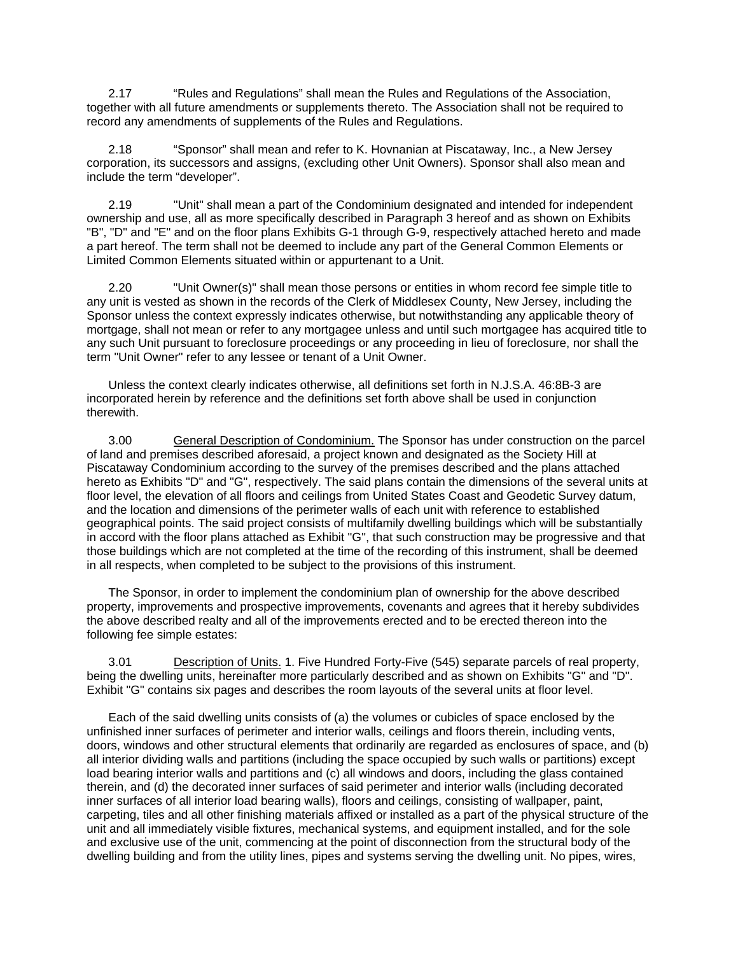2.17 "Rules and Regulations" shall mean the Rules and Regulations of the Association, together with all future amendments or supplements thereto. The Association shall not be required to record any amendments of supplements of the Rules and Regulations.

 2.18 "Sponsor" shall mean and refer to K. Hovnanian at Piscataway, Inc., a New Jersey corporation, its successors and assigns, (excluding other Unit Owners). Sponsor shall also mean and include the term "developer".

 2.19 "Unit" shall mean a part of the Condominium designated and intended for independent ownership and use, all as more specifically described in Paragraph 3 hereof and as shown on Exhibits "B", "D" and "E" and on the floor plans Exhibits G-1 through G-9, respectively attached hereto and made a part hereof. The term shall not be deemed to include any part of the General Common Elements or Limited Common Elements situated within or appurtenant to a Unit.

 2.20 "Unit Owner(s)" shall mean those persons or entities in whom record fee simple title to any unit is vested as shown in the records of the Clerk of Middlesex County, New Jersey, including the Sponsor unless the context expressly indicates otherwise, but notwithstanding any applicable theory of mortgage, shall not mean or refer to any mortgagee unless and until such mortgagee has acquired title to any such Unit pursuant to foreclosure proceedings or any proceeding in lieu of foreclosure, nor shall the term "Unit Owner" refer to any lessee or tenant of a Unit Owner.

 Unless the context clearly indicates otherwise, all definitions set forth in N.J.S.A. 46:8B-3 are incorporated herein by reference and the definitions set forth above shall be used in conjunction therewith.

 3.00 General Description of Condominium. The Sponsor has under construction on the parcel of land and premises described aforesaid, a project known and designated as the Society Hill at Piscataway Condominium according to the survey of the premises described and the plans attached hereto as Exhibits "D" and "G", respectively. The said plans contain the dimensions of the several units at floor level, the elevation of all floors and ceilings from United States Coast and Geodetic Survey datum, and the location and dimensions of the perimeter walls of each unit with reference to established geographical points. The said project consists of multifamily dwelling buildings which will be substantially in accord with the floor plans attached as Exhibit "G", that such construction may be progressive and that those buildings which are not completed at the time of the recording of this instrument, shall be deemed in all respects, when completed to be subject to the provisions of this instrument.

 The Sponsor, in order to implement the condominium plan of ownership for the above described property, improvements and prospective improvements, covenants and agrees that it hereby subdivides the above described realty and all of the improvements erected and to be erected thereon into the following fee simple estates:

 3.01 Description of Units. 1. Five Hundred Forty-Five (545) separate parcels of real property, being the dwelling units, hereinafter more particularly described and as shown on Exhibits "G" and "D". Exhibit "G" contains six pages and describes the room layouts of the several units at floor level.

 Each of the said dwelling units consists of (a) the volumes or cubicles of space enclosed by the unfinished inner surfaces of perimeter and interior walls, ceilings and floors therein, including vents, doors, windows and other structural elements that ordinarily are regarded as enclosures of space, and (b) all interior dividing walls and partitions (including the space occupied by such walls or partitions) except load bearing interior walls and partitions and (c) all windows and doors, including the glass contained therein, and (d) the decorated inner surfaces of said perimeter and interior walls (including decorated inner surfaces of all interior load bearing walls), floors and ceilings, consisting of wallpaper, paint, carpeting, tiles and all other finishing materials affixed or installed as a part of the physical structure of the unit and all immediately visible fixtures, mechanical systems, and equipment installed, and for the sole and exclusive use of the unit, commencing at the point of disconnection from the structural body of the dwelling building and from the utility lines, pipes and systems serving the dwelling unit. No pipes, wires,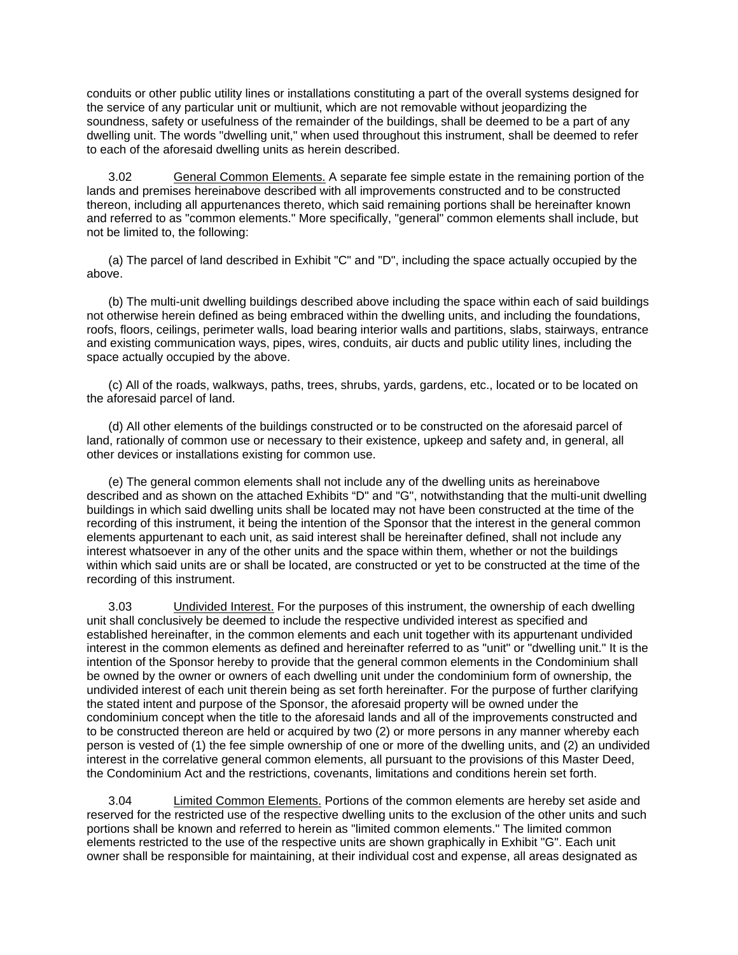conduits or other public utility lines or installations constituting a part of the overall systems designed for the service of any particular unit or multiunit, which are not removable without jeopardizing the soundness, safety or usefulness of the remainder of the buildings, shall be deemed to be a part of any dwelling unit. The words "dwelling unit," when used throughout this instrument, shall be deemed to refer to each of the aforesaid dwelling units as herein described.

 3.02 General Common Elements. A separate fee simple estate in the remaining portion of the lands and premises hereinabove described with all improvements constructed and to be constructed thereon, including all appurtenances thereto, which said remaining portions shall be hereinafter known and referred to as "common elements." More specifically, "general" common elements shall include, but not be limited to, the following:

 (a) The parcel of land described in Exhibit "C" and "D", including the space actually occupied by the above.

 (b) The multi-unit dwelling buildings described above including the space within each of said buildings not otherwise herein defined as being embraced within the dwelling units, and including the foundations, roofs, floors, ceilings, perimeter walls, load bearing interior walls and partitions, slabs, stairways, entrance and existing communication ways, pipes, wires, conduits, air ducts and public utility lines, including the space actually occupied by the above.

 (c) All of the roads, walkways, paths, trees, shrubs, yards, gardens, etc., located or to be located on the aforesaid parcel of land.

 (d) All other elements of the buildings constructed or to be constructed on the aforesaid parcel of land, rationally of common use or necessary to their existence, upkeep and safety and, in general, all other devices or installations existing for common use.

 (e) The general common elements shall not include any of the dwelling units as hereinabove described and as shown on the attached Exhibits "D" and "G", notwithstanding that the multi-unit dwelling buildings in which said dwelling units shall be located may not have been constructed at the time of the recording of this instrument, it being the intention of the Sponsor that the interest in the general common elements appurtenant to each unit, as said interest shall be hereinafter defined, shall not include any interest whatsoever in any of the other units and the space within them, whether or not the buildings within which said units are or shall be located, are constructed or yet to be constructed at the time of the recording of this instrument.

 3.03 Undivided Interest. For the purposes of this instrument, the ownership of each dwelling unit shall conclusively be deemed to include the respective undivided interest as specified and established hereinafter, in the common elements and each unit together with its appurtenant undivided interest in the common elements as defined and hereinafter referred to as "unit" or "dwelling unit." It is the intention of the Sponsor hereby to provide that the general common elements in the Condominium shall be owned by the owner or owners of each dwelling unit under the condominium form of ownership, the undivided interest of each unit therein being as set forth hereinafter. For the purpose of further clarifying the stated intent and purpose of the Sponsor, the aforesaid property will be owned under the condominium concept when the title to the aforesaid lands and all of the improvements constructed and to be constructed thereon are held or acquired by two (2) or more persons in any manner whereby each person is vested of (1) the fee simple ownership of one or more of the dwelling units, and (2) an undivided interest in the correlative general common elements, all pursuant to the provisions of this Master Deed, the Condominium Act and the restrictions, covenants, limitations and conditions herein set forth.

 3.04 Limited Common Elements. Portions of the common elements are hereby set aside and reserved for the restricted use of the respective dwelling units to the exclusion of the other units and such portions shall be known and referred to herein as "limited common elements." The limited common elements restricted to the use of the respective units are shown graphically in Exhibit "G". Each unit owner shall be responsible for maintaining, at their individual cost and expense, all areas designated as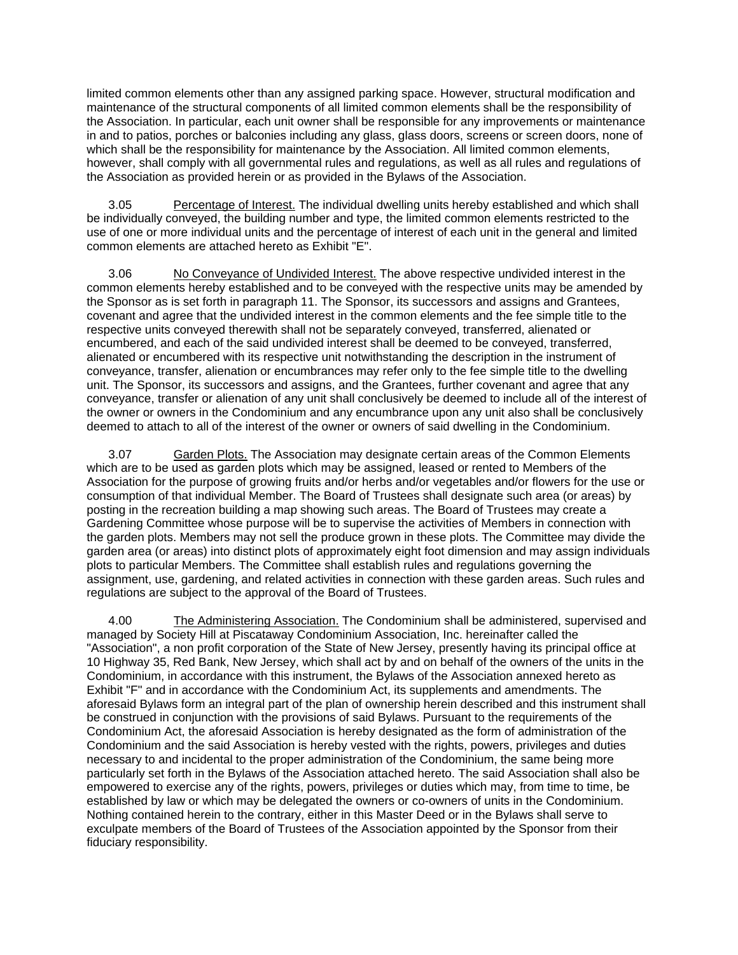limited common elements other than any assigned parking space. However, structural modification and maintenance of the structural components of all limited common elements shall be the responsibility of the Association. In particular, each unit owner shall be responsible for any improvements or maintenance in and to patios, porches or balconies including any glass, glass doors, screens or screen doors, none of which shall be the responsibility for maintenance by the Association. All limited common elements, however, shall comply with all governmental rules and regulations, as well as all rules and regulations of the Association as provided herein or as provided in the Bylaws of the Association.

 3.05 Percentage of Interest. The individual dwelling units hereby established and which shall be individually conveyed, the building number and type, the limited common elements restricted to the use of one or more individual units and the percentage of interest of each unit in the general and limited common elements are attached hereto as Exhibit "E".

 3.06 No Conveyance of Undivided Interest. The above respective undivided interest in the common elements hereby established and to be conveyed with the respective units may be amended by the Sponsor as is set forth in paragraph 11. The Sponsor, its successors and assigns and Grantees, covenant and agree that the undivided interest in the common elements and the fee simple title to the respective units conveyed therewith shall not be separately conveyed, transferred, alienated or encumbered, and each of the said undivided interest shall be deemed to be conveyed, transferred, alienated or encumbered with its respective unit notwithstanding the description in the instrument of conveyance, transfer, alienation or encumbrances may refer only to the fee simple title to the dwelling unit. The Sponsor, its successors and assigns, and the Grantees, further covenant and agree that any conveyance, transfer or alienation of any unit shall conclusively be deemed to include all of the interest of the owner or owners in the Condominium and any encumbrance upon any unit also shall be conclusively deemed to attach to all of the interest of the owner or owners of said dwelling in the Condominium.

 3.07 Garden Plots. The Association may designate certain areas of the Common Elements which are to be used as garden plots which may be assigned, leased or rented to Members of the Association for the purpose of growing fruits and/or herbs and/or vegetables and/or flowers for the use or consumption of that individual Member. The Board of Trustees shall designate such area (or areas) by posting in the recreation building a map showing such areas. The Board of Trustees may create a Gardening Committee whose purpose will be to supervise the activities of Members in connection with the garden plots. Members may not sell the produce grown in these plots. The Committee may divide the garden area (or areas) into distinct plots of approximately eight foot dimension and may assign individuals plots to particular Members. The Committee shall establish rules and regulations governing the assignment, use, gardening, and related activities in connection with these garden areas. Such rules and regulations are subject to the approval of the Board of Trustees.

 4.00 The Administering Association. The Condominium shall be administered, supervised and managed by Society Hill at Piscataway Condominium Association, Inc. hereinafter called the "Association", a non profit corporation of the State of New Jersey, presently having its principal office at 10 Highway 35, Red Bank, New Jersey, which shall act by and on behalf of the owners of the units in the Condominium, in accordance with this instrument, the Bylaws of the Association annexed hereto as Exhibit "F" and in accordance with the Condominium Act, its supplements and amendments. The aforesaid Bylaws form an integral part of the plan of ownership herein described and this instrument shall be construed in conjunction with the provisions of said Bylaws. Pursuant to the requirements of the Condominium Act, the aforesaid Association is hereby designated as the form of administration of the Condominium and the said Association is hereby vested with the rights, powers, privileges and duties necessary to and incidental to the proper administration of the Condominium, the same being more particularly set forth in the Bylaws of the Association attached hereto. The said Association shall also be empowered to exercise any of the rights, powers, privileges or duties which may, from time to time, be established by law or which may be delegated the owners or co-owners of units in the Condominium. Nothing contained herein to the contrary, either in this Master Deed or in the Bylaws shall serve to exculpate members of the Board of Trustees of the Association appointed by the Sponsor from their fiduciary responsibility.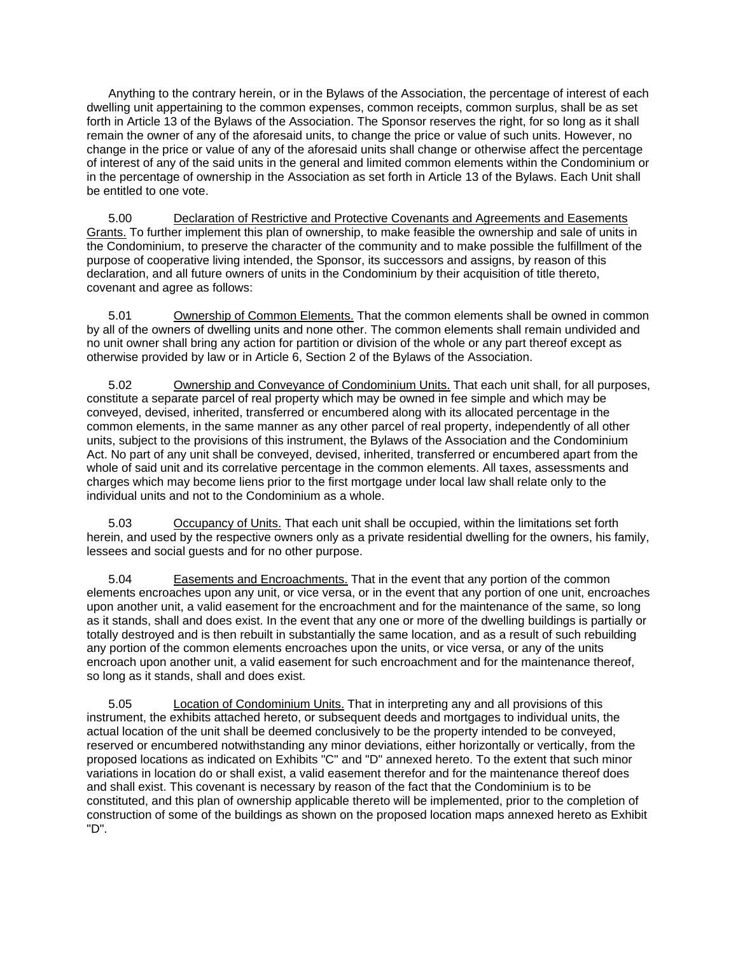Anything to the contrary herein, or in the Bylaws of the Association, the percentage of interest of each dwelling unit appertaining to the common expenses, common receipts, common surplus, shall be as set forth in Article 13 of the Bylaws of the Association. The Sponsor reserves the right, for so long as it shall remain the owner of any of the aforesaid units, to change the price or value of such units. However, no change in the price or value of any of the aforesaid units shall change or otherwise affect the percentage of interest of any of the said units in the general and limited common elements within the Condominium or in the percentage of ownership in the Association as set forth in Article 13 of the Bylaws. Each Unit shall be entitled to one vote.

 5.00 Declaration of Restrictive and Protective Covenants and Agreements and Easements Grants. To further implement this plan of ownership, to make feasible the ownership and sale of units in the Condominium, to preserve the character of the community and to make possible the fulfillment of the purpose of cooperative living intended, the Sponsor, its successors and assigns, by reason of this declaration, and all future owners of units in the Condominium by their acquisition of title thereto, covenant and agree as follows:

 5.01 Ownership of Common Elements. That the common elements shall be owned in common by all of the owners of dwelling units and none other. The common elements shall remain undivided and no unit owner shall bring any action for partition or division of the whole or any part thereof except as otherwise provided by law or in Article 6, Section 2 of the Bylaws of the Association.

 5.02 Ownership and Conveyance of Condominium Units. That each unit shall, for all purposes, constitute a separate parcel of real property which may be owned in fee simple and which may be conveyed, devised, inherited, transferred or encumbered along with its allocated percentage in the common elements, in the same manner as any other parcel of real property, independently of all other units, subject to the provisions of this instrument, the Bylaws of the Association and the Condominium Act. No part of any unit shall be conveyed, devised, inherited, transferred or encumbered apart from the whole of said unit and its correlative percentage in the common elements. All taxes, assessments and charges which may become liens prior to the first mortgage under local law shall relate only to the individual units and not to the Condominium as a whole.

5.03 **Occupancy of Units.** That each unit shall be occupied, within the limitations set forth herein, and used by the respective owners only as a private residential dwelling for the owners, his family, lessees and social guests and for no other purpose.

 5.04 Easements and Encroachments. That in the event that any portion of the common elements encroaches upon any unit, or vice versa, or in the event that any portion of one unit, encroaches upon another unit, a valid easement for the encroachment and for the maintenance of the same, so long as it stands, shall and does exist. In the event that any one or more of the dwelling buildings is partially or totally destroyed and is then rebuilt in substantially the same location, and as a result of such rebuilding any portion of the common elements encroaches upon the units, or vice versa, or any of the units encroach upon another unit, a valid easement for such encroachment and for the maintenance thereof, so long as it stands, shall and does exist.

 5.05 Location of Condominium Units. That in interpreting any and all provisions of this instrument, the exhibits attached hereto, or subsequent deeds and mortgages to individual units, the actual location of the unit shall be deemed conclusively to be the property intended to be conveyed, reserved or encumbered notwithstanding any minor deviations, either horizontally or vertically, from the proposed locations as indicated on Exhibits "C" and "D" annexed hereto. To the extent that such minor variations in location do or shall exist, a valid easement therefor and for the maintenance thereof does and shall exist. This covenant is necessary by reason of the fact that the Condominium is to be constituted, and this plan of ownership applicable thereto will be implemented, prior to the completion of construction of some of the buildings as shown on the proposed location maps annexed hereto as Exhibit "D".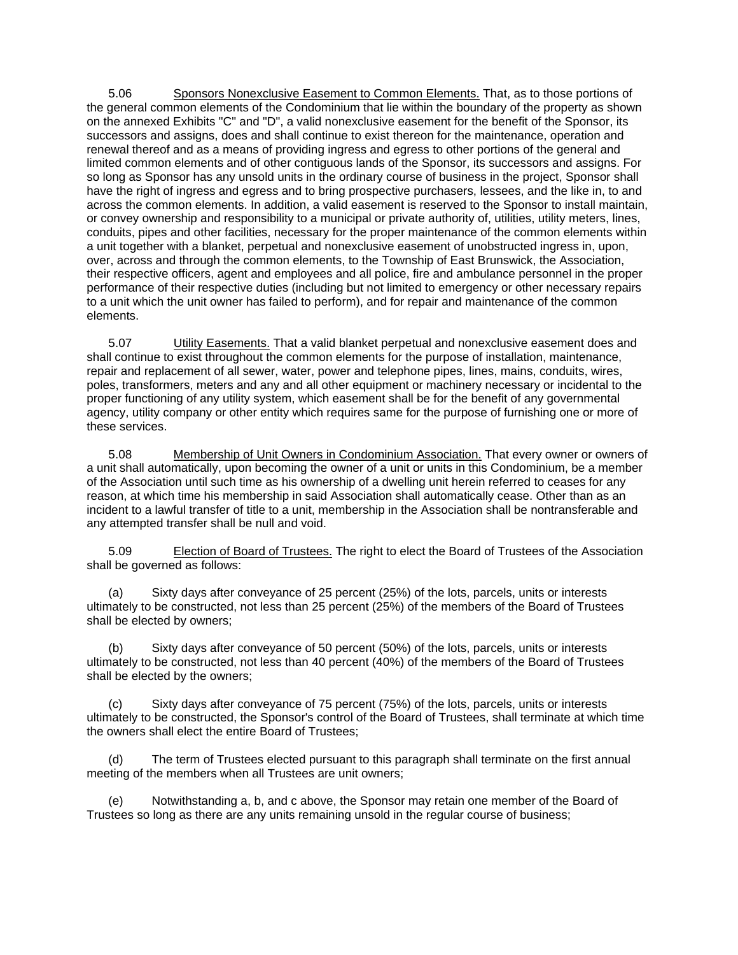5.06 Sponsors Nonexclusive Easement to Common Elements. That, as to those portions of the general common elements of the Condominium that lie within the boundary of the property as shown on the annexed Exhibits "C" and "D", a valid nonexclusive easement for the benefit of the Sponsor, its successors and assigns, does and shall continue to exist thereon for the maintenance, operation and renewal thereof and as a means of providing ingress and egress to other portions of the general and limited common elements and of other contiguous lands of the Sponsor, its successors and assigns. For so long as Sponsor has any unsold units in the ordinary course of business in the project, Sponsor shall have the right of ingress and egress and to bring prospective purchasers, lessees, and the like in, to and across the common elements. In addition, a valid easement is reserved to the Sponsor to install maintain, or convey ownership and responsibility to a municipal or private authority of, utilities, utility meters, lines, conduits, pipes and other facilities, necessary for the proper maintenance of the common elements within a unit together with a blanket, perpetual and nonexclusive easement of unobstructed ingress in, upon, over, across and through the common elements, to the Township of East Brunswick, the Association, their respective officers, agent and employees and all police, fire and ambulance personnel in the proper performance of their respective duties (including but not limited to emergency or other necessary repairs to a unit which the unit owner has failed to perform), and for repair and maintenance of the common elements.

5.07 **Utility Easements.** That a valid blanket perpetual and nonexclusive easement does and shall continue to exist throughout the common elements for the purpose of installation, maintenance, repair and replacement of all sewer, water, power and telephone pipes, lines, mains, conduits, wires, poles, transformers, meters and any and all other equipment or machinery necessary or incidental to the proper functioning of any utility system, which easement shall be for the benefit of any governmental agency, utility company or other entity which requires same for the purpose of furnishing one or more of these services.

 5.08 Membership of Unit Owners in Condominium Association. That every owner or owners of a unit shall automatically, upon becoming the owner of a unit or units in this Condominium, be a member of the Association until such time as his ownership of a dwelling unit herein referred to ceases for any reason, at which time his membership in said Association shall automatically cease. Other than as an incident to a lawful transfer of title to a unit, membership in the Association shall be nontransferable and any attempted transfer shall be null and void.

 5.09 Election of Board of Trustees. The right to elect the Board of Trustees of the Association shall be governed as follows:

 (a) Sixty days after conveyance of 25 percent (25%) of the lots, parcels, units or interests ultimately to be constructed, not less than 25 percent (25%) of the members of the Board of Trustees shall be elected by owners;

 (b) Sixty days after conveyance of 50 percent (50%) of the lots, parcels, units or interests ultimately to be constructed, not less than 40 percent (40%) of the members of the Board of Trustees shall be elected by the owners;

 (c) Sixty days after conveyance of 75 percent (75%) of the lots, parcels, units or interests ultimately to be constructed, the Sponsor's control of the Board of Trustees, shall terminate at which time the owners shall elect the entire Board of Trustees;

 (d) The term of Trustees elected pursuant to this paragraph shall terminate on the first annual meeting of the members when all Trustees are unit owners;

 (e) Notwithstanding a, b, and c above, the Sponsor may retain one member of the Board of Trustees so long as there are any units remaining unsold in the regular course of business;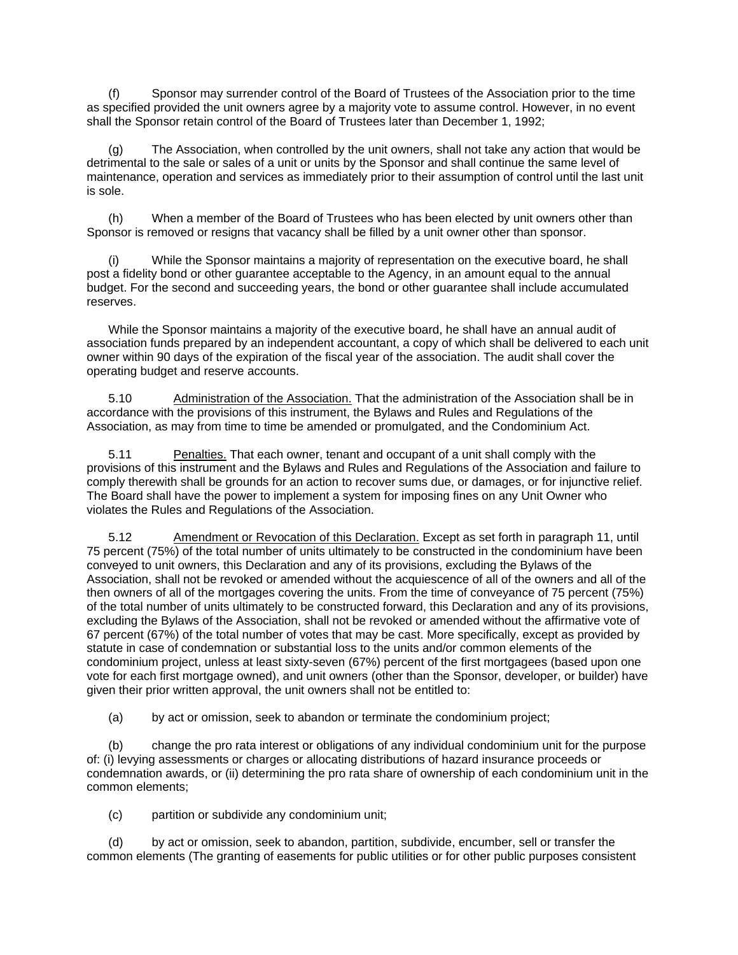(f) Sponsor may surrender control of the Board of Trustees of the Association prior to the time as specified provided the unit owners agree by a majority vote to assume control. However, in no event shall the Sponsor retain control of the Board of Trustees later than December 1, 1992;

 (g) The Association, when controlled by the unit owners, shall not take any action that would be detrimental to the sale or sales of a unit or units by the Sponsor and shall continue the same level of maintenance, operation and services as immediately prior to their assumption of control until the last unit is sole.

 (h) When a member of the Board of Trustees who has been elected by unit owners other than Sponsor is removed or resigns that vacancy shall be filled by a unit owner other than sponsor.

 (i) While the Sponsor maintains a majority of representation on the executive board, he shall post a fidelity bond or other guarantee acceptable to the Agency, in an amount equal to the annual budget. For the second and succeeding years, the bond or other guarantee shall include accumulated reserves.

 While the Sponsor maintains a majority of the executive board, he shall have an annual audit of association funds prepared by an independent accountant, a copy of which shall be delivered to each unit owner within 90 days of the expiration of the fiscal year of the association. The audit shall cover the operating budget and reserve accounts.

 5.10 Administration of the Association. That the administration of the Association shall be in accordance with the provisions of this instrument, the Bylaws and Rules and Regulations of the Association, as may from time to time be amended or promulgated, and the Condominium Act.

 5.11 Penalties. That each owner, tenant and occupant of a unit shall comply with the provisions of this instrument and the Bylaws and Rules and Regulations of the Association and failure to comply therewith shall be grounds for an action to recover sums due, or damages, or for injunctive relief. The Board shall have the power to implement a system for imposing fines on any Unit Owner who violates the Rules and Regulations of the Association.

 5.12 Amendment or Revocation of this Declaration. Except as set forth in paragraph 11, until 75 percent (75%) of the total number of units ultimately to be constructed in the condominium have been conveyed to unit owners, this Declaration and any of its provisions, excluding the Bylaws of the Association, shall not be revoked or amended without the acquiescence of all of the owners and all of the then owners of all of the mortgages covering the units. From the time of conveyance of 75 percent (75%) of the total number of units ultimately to be constructed forward, this Declaration and any of its provisions, excluding the Bylaws of the Association, shall not be revoked or amended without the affirmative vote of 67 percent (67%) of the total number of votes that may be cast. More specifically, except as provided by statute in case of condemnation or substantial loss to the units and/or common elements of the condominium project, unless at least sixty-seven (67%) percent of the first mortgagees (based upon one vote for each first mortgage owned), and unit owners (other than the Sponsor, developer, or builder) have given their prior written approval, the unit owners shall not be entitled to:

(a) by act or omission, seek to abandon or terminate the condominium project;

 (b) change the pro rata interest or obligations of any individual condominium unit for the purpose of: (i) levying assessments or charges or allocating distributions of hazard insurance proceeds or condemnation awards, or (ii) determining the pro rata share of ownership of each condominium unit in the common elements;

(c) partition or subdivide any condominium unit;

 (d) by act or omission, seek to abandon, partition, subdivide, encumber, sell or transfer the common elements (The granting of easements for public utilities or for other public purposes consistent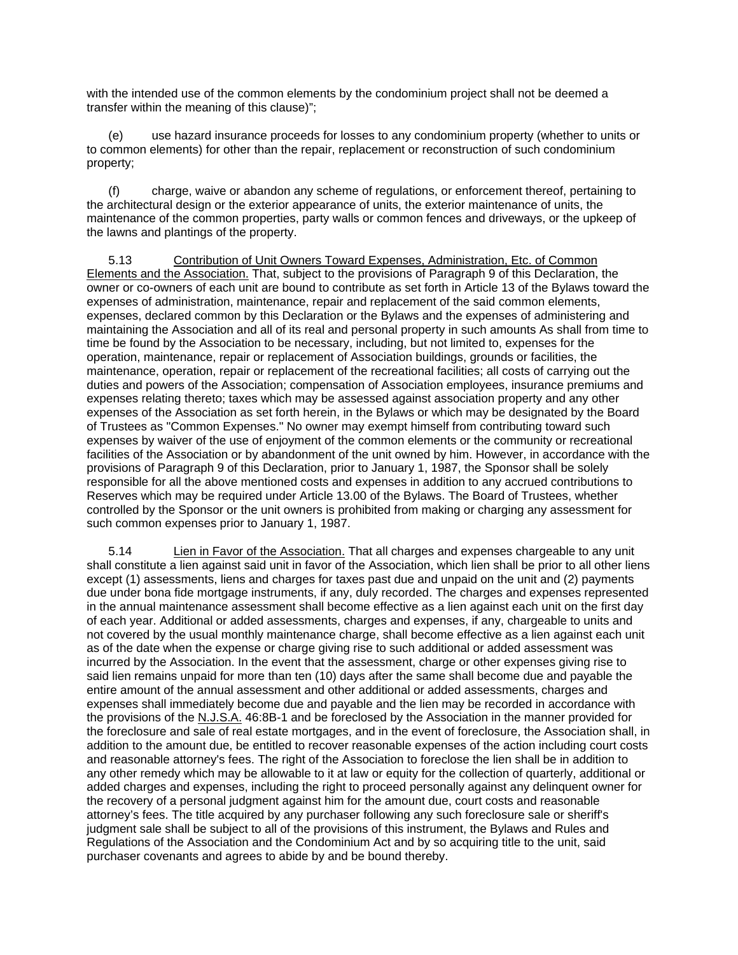with the intended use of the common elements by the condominium project shall not be deemed a transfer within the meaning of this clause)";

 (e) use hazard insurance proceeds for losses to any condominium property (whether to units or to common elements) for other than the repair, replacement or reconstruction of such condominium property;

 (f) charge, waive or abandon any scheme of regulations, or enforcement thereof, pertaining to the architectural design or the exterior appearance of units, the exterior maintenance of units, the maintenance of the common properties, party walls or common fences and driveways, or the upkeep of the lawns and plantings of the property.

 5.13 Contribution of Unit Owners Toward Expenses, Administration, Etc. of Common Elements and the Association. That, subject to the provisions of Paragraph 9 of this Declaration, the owner or co-owners of each unit are bound to contribute as set forth in Article 13 of the Bylaws toward the expenses of administration, maintenance, repair and replacement of the said common elements, expenses, declared common by this Declaration or the Bylaws and the expenses of administering and maintaining the Association and all of its real and personal property in such amounts As shall from time to time be found by the Association to be necessary, including, but not limited to, expenses for the operation, maintenance, repair or replacement of Association buildings, grounds or facilities, the maintenance, operation, repair or replacement of the recreational facilities; all costs of carrying out the duties and powers of the Association; compensation of Association employees, insurance premiums and expenses relating thereto; taxes which may be assessed against association property and any other expenses of the Association as set forth herein, in the Bylaws or which may be designated by the Board of Trustees as "Common Expenses." No owner may exempt himself from contributing toward such expenses by waiver of the use of enjoyment of the common elements or the community or recreational facilities of the Association or by abandonment of the unit owned by him. However, in accordance with the provisions of Paragraph 9 of this Declaration, prior to January 1, 1987, the Sponsor shall be solely responsible for all the above mentioned costs and expenses in addition to any accrued contributions to Reserves which may be required under Article 13.00 of the Bylaws. The Board of Trustees, whether controlled by the Sponsor or the unit owners is prohibited from making or charging any assessment for such common expenses prior to January 1, 1987.

5.14 **Lien in Favor of the Association.** That all charges and expenses chargeable to any unit shall constitute a lien against said unit in favor of the Association, which lien shall be prior to all other liens except (1) assessments, liens and charges for taxes past due and unpaid on the unit and (2) payments due under bona fide mortgage instruments, if any, duly recorded. The charges and expenses represented in the annual maintenance assessment shall become effective as a lien against each unit on the first day of each year. Additional or added assessments, charges and expenses, if any, chargeable to units and not covered by the usual monthly maintenance charge, shall become effective as a lien against each unit as of the date when the expense or charge giving rise to such additional or added assessment was incurred by the Association. In the event that the assessment, charge or other expenses giving rise to said lien remains unpaid for more than ten (10) days after the same shall become due and payable the entire amount of the annual assessment and other additional or added assessments, charges and expenses shall immediately become due and payable and the lien may be recorded in accordance with the provisions of the N.J.S.A. 46:8B-1 and be foreclosed by the Association in the manner provided for the foreclosure and sale of real estate mortgages, and in the event of foreclosure, the Association shall, in addition to the amount due, be entitled to recover reasonable expenses of the action including court costs and reasonable attorney's fees. The right of the Association to foreclose the lien shall be in addition to any other remedy which may be allowable to it at law or equity for the collection of quarterly, additional or added charges and expenses, including the right to proceed personally against any delinquent owner for the recovery of a personal judgment against him for the amount due, court costs and reasonable attorney's fees. The title acquired by any purchaser following any such foreclosure sale or sheriff's judgment sale shall be subject to all of the provisions of this instrument, the Bylaws and Rules and Regulations of the Association and the Condominium Act and by so acquiring title to the unit, said purchaser covenants and agrees to abide by and be bound thereby.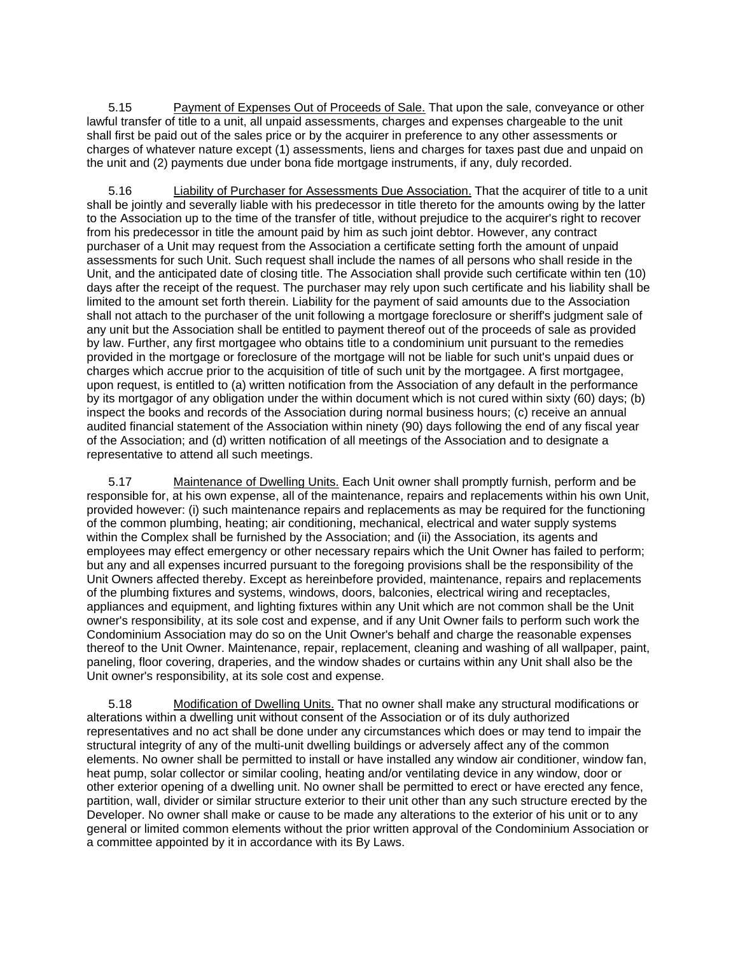5.15 Payment of Expenses Out of Proceeds of Sale. That upon the sale, conveyance or other lawful transfer of title to a unit, all unpaid assessments, charges and expenses chargeable to the unit shall first be paid out of the sales price or by the acquirer in preference to any other assessments or charges of whatever nature except (1) assessments, liens and charges for taxes past due and unpaid on the unit and (2) payments due under bona fide mortgage instruments, if any, duly recorded.

 5.16 Liability of Purchaser for Assessments Due Association. That the acquirer of title to a unit shall be jointly and severally liable with his predecessor in title thereto for the amounts owing by the latter to the Association up to the time of the transfer of title, without prejudice to the acquirer's right to recover from his predecessor in title the amount paid by him as such joint debtor. However, any contract purchaser of a Unit may request from the Association a certificate setting forth the amount of unpaid assessments for such Unit. Such request shall include the names of all persons who shall reside in the Unit, and the anticipated date of closing title. The Association shall provide such certificate within ten (10) days after the receipt of the request. The purchaser may rely upon such certificate and his liability shall be limited to the amount set forth therein. Liability for the payment of said amounts due to the Association shall not attach to the purchaser of the unit following a mortgage foreclosure or sheriff's judgment sale of any unit but the Association shall be entitled to payment thereof out of the proceeds of sale as provided by law. Further, any first mortgagee who obtains title to a condominium unit pursuant to the remedies provided in the mortgage or foreclosure of the mortgage will not be liable for such unit's unpaid dues or charges which accrue prior to the acquisition of title of such unit by the mortgagee. A first mortgagee, upon request, is entitled to (a) written notification from the Association of any default in the performance by its mortgagor of any obligation under the within document which is not cured within sixty (60) days; (b) inspect the books and records of the Association during normal business hours; (c) receive an annual audited financial statement of the Association within ninety (90) days following the end of any fiscal year of the Association; and (d) written notification of all meetings of the Association and to designate a representative to attend all such meetings.

 5.17 Maintenance of Dwelling Units. Each Unit owner shall promptly furnish, perform and be responsible for, at his own expense, all of the maintenance, repairs and replacements within his own Unit, provided however: (i) such maintenance repairs and replacements as may be required for the functioning of the common plumbing, heating; air conditioning, mechanical, electrical and water supply systems within the Complex shall be furnished by the Association; and (ii) the Association, its agents and employees may effect emergency or other necessary repairs which the Unit Owner has failed to perform; but any and all expenses incurred pursuant to the foregoing provisions shall be the responsibility of the Unit Owners affected thereby. Except as hereinbefore provided, maintenance, repairs and replacements of the plumbing fixtures and systems, windows, doors, balconies, electrical wiring and receptacles, appliances and equipment, and lighting fixtures within any Unit which are not common shall be the Unit owner's responsibility, at its sole cost and expense, and if any Unit Owner fails to perform such work the Condominium Association may do so on the Unit Owner's behalf and charge the reasonable expenses thereof to the Unit Owner. Maintenance, repair, replacement, cleaning and washing of all wallpaper, paint, paneling, floor covering, draperies, and the window shades or curtains within any Unit shall also be the Unit owner's responsibility, at its sole cost and expense.

 5.18 Modification of Dwelling Units. That no owner shall make any structural modifications or alterations within a dwelling unit without consent of the Association or of its duly authorized representatives and no act shall be done under any circumstances which does or may tend to impair the structural integrity of any of the multi-unit dwelling buildings or adversely affect any of the common elements. No owner shall be permitted to install or have installed any window air conditioner, window fan, heat pump, solar collector or similar cooling, heating and/or ventilating device in any window, door or other exterior opening of a dwelling unit. No owner shall be permitted to erect or have erected any fence, partition, wall, divider or similar structure exterior to their unit other than any such structure erected by the Developer. No owner shall make or cause to be made any alterations to the exterior of his unit or to any general or limited common elements without the prior written approval of the Condominium Association or a committee appointed by it in accordance with its By Laws.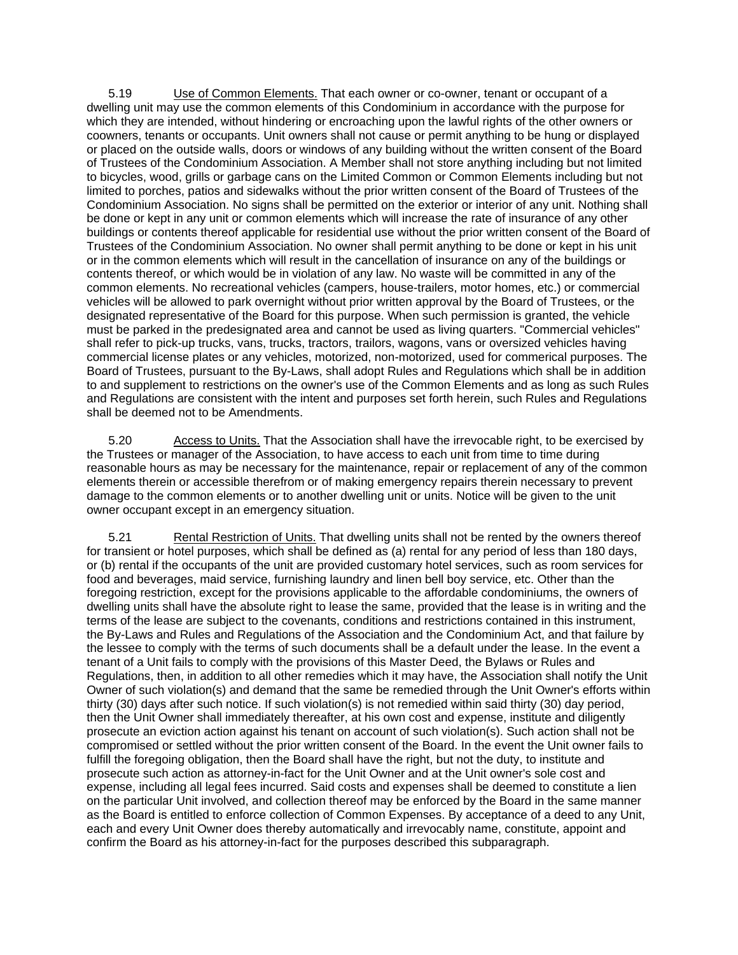5.19 Use of Common Elements. That each owner or co-owner, tenant or occupant of a dwelling unit may use the common elements of this Condominium in accordance with the purpose for which they are intended, without hindering or encroaching upon the lawful rights of the other owners or coowners, tenants or occupants. Unit owners shall not cause or permit anything to be hung or displayed or placed on the outside walls, doors or windows of any building without the written consent of the Board of Trustees of the Condominium Association. A Member shall not store anything including but not limited to bicycles, wood, grills or garbage cans on the Limited Common or Common Elements including but not limited to porches, patios and sidewalks without the prior written consent of the Board of Trustees of the Condominium Association. No signs shall be permitted on the exterior or interior of any unit. Nothing shall be done or kept in any unit or common elements which will increase the rate of insurance of any other buildings or contents thereof applicable for residential use without the prior written consent of the Board of Trustees of the Condominium Association. No owner shall permit anything to be done or kept in his unit or in the common elements which will result in the cancellation of insurance on any of the buildings or contents thereof, or which would be in violation of any law. No waste will be committed in any of the common elements. No recreational vehicles (campers, house-trailers, motor homes, etc.) or commercial vehicles will be allowed to park overnight without prior written approval by the Board of Trustees, or the designated representative of the Board for this purpose. When such permission is granted, the vehicle must be parked in the predesignated area and cannot be used as living quarters. "Commercial vehicles" shall refer to pick-up trucks, vans, trucks, tractors, trailors, wagons, vans or oversized vehicles having commercial license plates or any vehicles, motorized, non-motorized, used for commerical purposes. The Board of Trustees, pursuant to the By-Laws, shall adopt Rules and Regulations which shall be in addition to and supplement to restrictions on the owner's use of the Common Elements and as long as such Rules and Regulations are consistent with the intent and purposes set forth herein, such Rules and Regulations shall be deemed not to be Amendments.

 5.20 Access to Units. That the Association shall have the irrevocable right, to be exercised by the Trustees or manager of the Association, to have access to each unit from time to time during reasonable hours as may be necessary for the maintenance, repair or replacement of any of the common elements therein or accessible therefrom or of making emergency repairs therein necessary to prevent damage to the common elements or to another dwelling unit or units. Notice will be given to the unit owner occupant except in an emergency situation.

 5.21 Rental Restriction of Units. That dwelling units shall not be rented by the owners thereof for transient or hotel purposes, which shall be defined as (a) rental for any period of less than 180 days, or (b) rental if the occupants of the unit are provided customary hotel services, such as room services for food and beverages, maid service, furnishing laundry and linen bell boy service, etc. Other than the foregoing restriction, except for the provisions applicable to the affordable condominiums, the owners of dwelling units shall have the absolute right to lease the same, provided that the lease is in writing and the terms of the lease are subject to the covenants, conditions and restrictions contained in this instrument, the By-Laws and Rules and Regulations of the Association and the Condominium Act, and that failure by the lessee to comply with the terms of such documents shall be a default under the lease. In the event a tenant of a Unit fails to comply with the provisions of this Master Deed, the Bylaws or Rules and Regulations, then, in addition to all other remedies which it may have, the Association shall notify the Unit Owner of such violation(s) and demand that the same be remedied through the Unit Owner's efforts within thirty (30) days after such notice. If such violation(s) is not remedied within said thirty (30) day period, then the Unit Owner shall immediately thereafter, at his own cost and expense, institute and diligently prosecute an eviction action against his tenant on account of such violation(s). Such action shall not be compromised or settled without the prior written consent of the Board. In the event the Unit owner fails to fulfill the foregoing obligation, then the Board shall have the right, but not the duty, to institute and prosecute such action as attorney-in-fact for the Unit Owner and at the Unit owner's sole cost and expense, including all legal fees incurred. Said costs and expenses shall be deemed to constitute a lien on the particular Unit involved, and collection thereof may be enforced by the Board in the same manner as the Board is entitled to enforce collection of Common Expenses. By acceptance of a deed to any Unit, each and every Unit Owner does thereby automatically and irrevocably name, constitute, appoint and confirm the Board as his attorney-in-fact for the purposes described this subparagraph.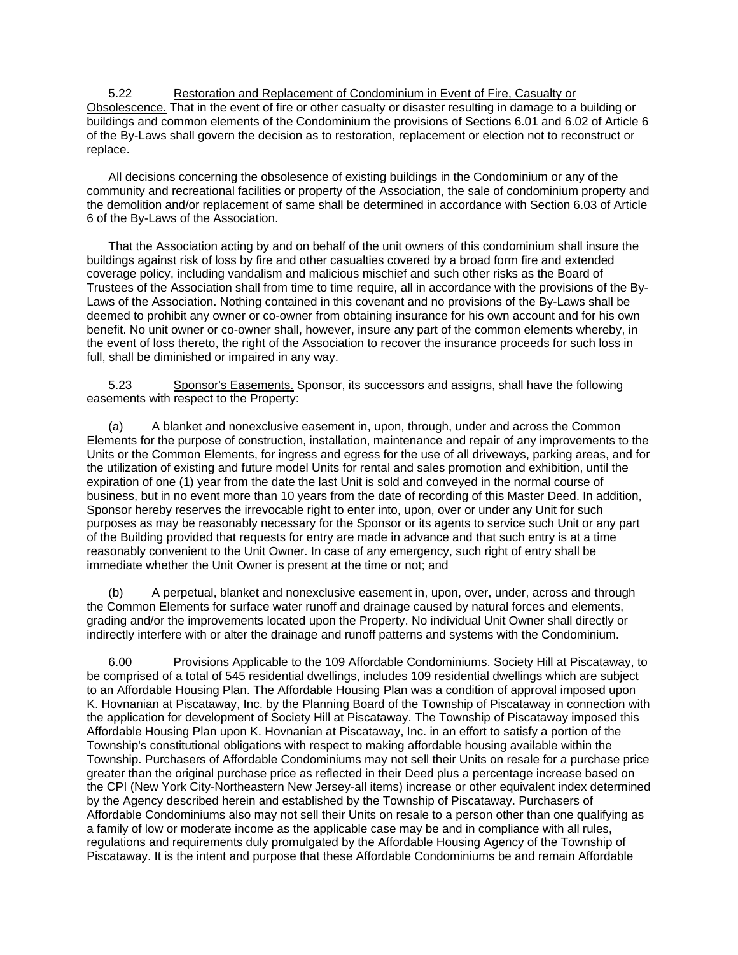5.22 Restoration and Replacement of Condominium in Event of Fire, Casualty or Obsolescence. That in the event of fire or other casualty or disaster resulting in damage to a building or buildings and common elements of the Condominium the provisions of Sections 6.01 and 6.02 of Article 6 of the By-Laws shall govern the decision as to restoration, replacement or election not to reconstruct or replace.

 All decisions concerning the obsolesence of existing buildings in the Condominium or any of the community and recreational facilities or property of the Association, the sale of condominium property and the demolition and/or replacement of same shall be determined in accordance with Section 6.03 of Article 6 of the By-Laws of the Association.

 That the Association acting by and on behalf of the unit owners of this condominium shall insure the buildings against risk of loss by fire and other casualties covered by a broad form fire and extended coverage policy, including vandalism and malicious mischief and such other risks as the Board of Trustees of the Association shall from time to time require, all in accordance with the provisions of the By-Laws of the Association. Nothing contained in this covenant and no provisions of the By-Laws shall be deemed to prohibit any owner or co-owner from obtaining insurance for his own account and for his own benefit. No unit owner or co-owner shall, however, insure any part of the common elements whereby, in the event of loss thereto, the right of the Association to recover the insurance proceeds for such loss in full, shall be diminished or impaired in any way.

 5.23 Sponsor's Easements. Sponsor, its successors and assigns, shall have the following easements with respect to the Property:

 (a) A blanket and nonexclusive easement in, upon, through, under and across the Common Elements for the purpose of construction, installation, maintenance and repair of any improvements to the Units or the Common Elements, for ingress and egress for the use of all driveways, parking areas, and for the utilization of existing and future model Units for rental and sales promotion and exhibition, until the expiration of one (1) year from the date the last Unit is sold and conveyed in the normal course of business, but in no event more than 10 years from the date of recording of this Master Deed. In addition, Sponsor hereby reserves the irrevocable right to enter into, upon, over or under any Unit for such purposes as may be reasonably necessary for the Sponsor or its agents to service such Unit or any part of the Building provided that requests for entry are made in advance and that such entry is at a time reasonably convenient to the Unit Owner. In case of any emergency, such right of entry shall be immediate whether the Unit Owner is present at the time or not; and

 (b) A perpetual, blanket and nonexclusive easement in, upon, over, under, across and through the Common Elements for surface water runoff and drainage caused by natural forces and elements, grading and/or the improvements located upon the Property. No individual Unit Owner shall directly or indirectly interfere with or alter the drainage and runoff patterns and systems with the Condominium.

 6.00 Provisions Applicable to the 109 Affordable Condominiums. Society Hill at Piscataway, to be comprised of a total of 545 residential dwellings, includes 109 residential dwellings which are subject to an Affordable Housing Plan. The Affordable Housing Plan was a condition of approval imposed upon K. Hovnanian at Piscataway, Inc. by the Planning Board of the Township of Piscataway in connection with the application for development of Society Hill at Piscataway. The Township of Piscataway imposed this Affordable Housing Plan upon K. Hovnanian at Piscataway, Inc. in an effort to satisfy a portion of the Township's constitutional obligations with respect to making affordable housing available within the Township. Purchasers of Affordable Condominiums may not sell their Units on resale for a purchase price greater than the original purchase price as reflected in their Deed plus a percentage increase based on the CPI (New York City-Northeastern New Jersey-all items) increase or other equivalent index determined by the Agency described herein and established by the Township of Piscataway. Purchasers of Affordable Condominiums also may not sell their Units on resale to a person other than one qualifying as a family of low or moderate income as the applicable case may be and in compliance with all rules, regulations and requirements duly promulgated by the Affordable Housing Agency of the Township of Piscataway. It is the intent and purpose that these Affordable Condominiums be and remain Affordable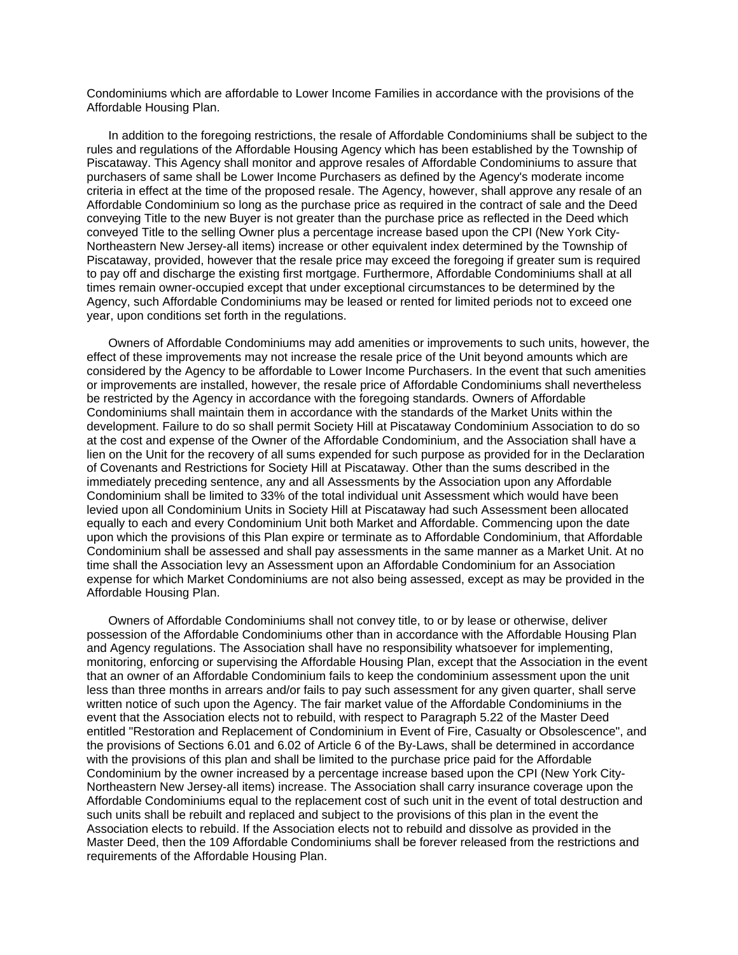Condominiums which are affordable to Lower Income Families in accordance with the provisions of the Affordable Housing Plan.

 In addition to the foregoing restrictions, the resale of Affordable Condominiums shall be subject to the rules and regulations of the Affordable Housing Agency which has been established by the Township of Piscataway. This Agency shall monitor and approve resales of Affordable Condominiums to assure that purchasers of same shall be Lower Income Purchasers as defined by the Agency's moderate income criteria in effect at the time of the proposed resale. The Agency, however, shall approve any resale of an Affordable Condominium so long as the purchase price as required in the contract of sale and the Deed conveying Title to the new Buyer is not greater than the purchase price as reflected in the Deed which conveyed Title to the selling Owner plus a percentage increase based upon the CPI (New York City-Northeastern New Jersey-all items) increase or other equivalent index determined by the Township of Piscataway, provided, however that the resale price may exceed the foregoing if greater sum is required to pay off and discharge the existing first mortgage. Furthermore, Affordable Condominiums shall at all times remain owner-occupied except that under exceptional circumstances to be determined by the Agency, such Affordable Condominiums may be leased or rented for limited periods not to exceed one year, upon conditions set forth in the regulations.

 Owners of Affordable Condominiums may add amenities or improvements to such units, however, the effect of these improvements may not increase the resale price of the Unit beyond amounts which are considered by the Agency to be affordable to Lower Income Purchasers. In the event that such amenities or improvements are installed, however, the resale price of Affordable Condominiums shall nevertheless be restricted by the Agency in accordance with the foregoing standards. Owners of Affordable Condominiums shall maintain them in accordance with the standards of the Market Units within the development. Failure to do so shall permit Society Hill at Piscataway Condominium Association to do so at the cost and expense of the Owner of the Affordable Condominium, and the Association shall have a lien on the Unit for the recovery of all sums expended for such purpose as provided for in the Declaration of Covenants and Restrictions for Society Hill at Piscataway. Other than the sums described in the immediately preceding sentence, any and all Assessments by the Association upon any Affordable Condominium shall be limited to 33% of the total individual unit Assessment which would have been levied upon all Condominium Units in Society Hill at Piscataway had such Assessment been allocated equally to each and every Condominium Unit both Market and Affordable. Commencing upon the date upon which the provisions of this Plan expire or terminate as to Affordable Condominium, that Affordable Condominium shall be assessed and shall pay assessments in the same manner as a Market Unit. At no time shall the Association levy an Assessment upon an Affordable Condominium for an Association expense for which Market Condominiums are not also being assessed, except as may be provided in the Affordable Housing Plan.

 Owners of Affordable Condominiums shall not convey title, to or by lease or otherwise, deliver possession of the Affordable Condominiums other than in accordance with the Affordable Housing Plan and Agency regulations. The Association shall have no responsibility whatsoever for implementing, monitoring, enforcing or supervising the Affordable Housing Plan, except that the Association in the event that an owner of an Affordable Condominium fails to keep the condominium assessment upon the unit less than three months in arrears and/or fails to pay such assessment for any given quarter, shall serve written notice of such upon the Agency. The fair market value of the Affordable Condominiums in the event that the Association elects not to rebuild, with respect to Paragraph 5.22 of the Master Deed entitled "Restoration and Replacement of Condominium in Event of Fire, Casualty or Obsolescence", and the provisions of Sections 6.01 and 6.02 of Article 6 of the By-Laws, shall be determined in accordance with the provisions of this plan and shall be limited to the purchase price paid for the Affordable Condominium by the owner increased by a percentage increase based upon the CPI (New York City-Northeastern New Jersey-all items) increase. The Association shall carry insurance coverage upon the Affordable Condominiums equal to the replacement cost of such unit in the event of total destruction and such units shall be rebuilt and replaced and subject to the provisions of this plan in the event the Association elects to rebuild. If the Association elects not to rebuild and dissolve as provided in the Master Deed, then the 109 Affordable Condominiums shall be forever released from the restrictions and requirements of the Affordable Housing Plan.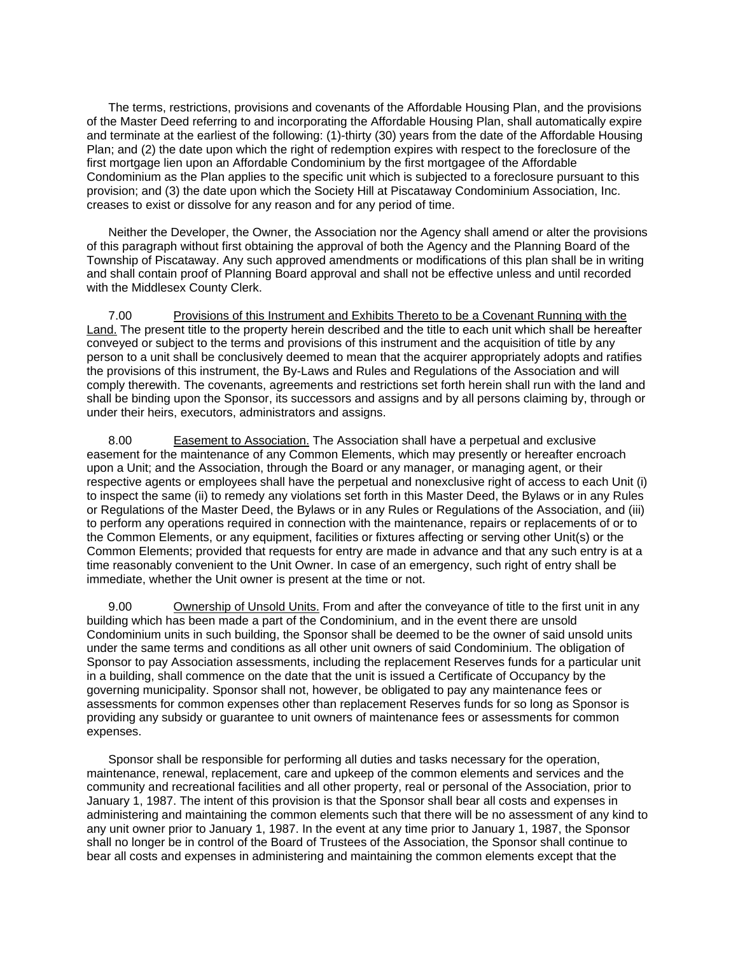The terms, restrictions, provisions and covenants of the Affordable Housing Plan, and the provisions of the Master Deed referring to and incorporating the Affordable Housing Plan, shall automatically expire and terminate at the earliest of the following: (1)-thirty (30) years from the date of the Affordable Housing Plan; and (2) the date upon which the right of redemption expires with respect to the foreclosure of the first mortgage lien upon an Affordable Condominium by the first mortgagee of the Affordable Condominium as the Plan applies to the specific unit which is subjected to a foreclosure pursuant to this provision; and (3) the date upon which the Society Hill at Piscataway Condominium Association, Inc. creases to exist or dissolve for any reason and for any period of time.

 Neither the Developer, the Owner, the Association nor the Agency shall amend or alter the provisions of this paragraph without first obtaining the approval of both the Agency and the Planning Board of the Township of Piscataway. Any such approved amendments or modifications of this plan shall be in writing and shall contain proof of Planning Board approval and shall not be effective unless and until recorded with the Middlesex County Clerk.

 7.00 Provisions of this Instrument and Exhibits Thereto to be a Covenant Running with the Land. The present title to the property herein described and the title to each unit which shall be hereafter conveyed or subject to the terms and provisions of this instrument and the acquisition of title by any person to a unit shall be conclusively deemed to mean that the acquirer appropriately adopts and ratifies the provisions of this instrument, the By-Laws and Rules and Regulations of the Association and will comply therewith. The covenants, agreements and restrictions set forth herein shall run with the land and shall be binding upon the Sponsor, its successors and assigns and by all persons claiming by, through or under their heirs, executors, administrators and assigns.

 8.00 Easement to Association. The Association shall have a perpetual and exclusive easement for the maintenance of any Common Elements, which may presently or hereafter encroach upon a Unit; and the Association, through the Board or any manager, or managing agent, or their respective agents or employees shall have the perpetual and nonexclusive right of access to each Unit (i) to inspect the same (ii) to remedy any violations set forth in this Master Deed, the Bylaws or in any Rules or Regulations of the Master Deed, the Bylaws or in any Rules or Regulations of the Association, and (iii) to perform any operations required in connection with the maintenance, repairs or replacements of or to the Common Elements, or any equipment, facilities or fixtures affecting or serving other Unit(s) or the Common Elements; provided that requests for entry are made in advance and that any such entry is at a time reasonably convenient to the Unit Owner. In case of an emergency, such right of entry shall be immediate, whether the Unit owner is present at the time or not.

 9.00 Ownership of Unsold Units. From and after the conveyance of title to the first unit in any building which has been made a part of the Condominium, and in the event there are unsold Condominium units in such building, the Sponsor shall be deemed to be the owner of said unsold units under the same terms and conditions as all other unit owners of said Condominium. The obligation of Sponsor to pay Association assessments, including the replacement Reserves funds for a particular unit in a building, shall commence on the date that the unit is issued a Certificate of Occupancy by the governing municipality. Sponsor shall not, however, be obligated to pay any maintenance fees or assessments for common expenses other than replacement Reserves funds for so long as Sponsor is providing any subsidy or guarantee to unit owners of maintenance fees or assessments for common expenses.

 Sponsor shall be responsible for performing all duties and tasks necessary for the operation, maintenance, renewal, replacement, care and upkeep of the common elements and services and the community and recreational facilities and all other property, real or personal of the Association, prior to January 1, 1987. The intent of this provision is that the Sponsor shall bear all costs and expenses in administering and maintaining the common elements such that there will be no assessment of any kind to any unit owner prior to January 1, 1987. In the event at any time prior to January 1, 1987, the Sponsor shall no longer be in control of the Board of Trustees of the Association, the Sponsor shall continue to bear all costs and expenses in administering and maintaining the common elements except that the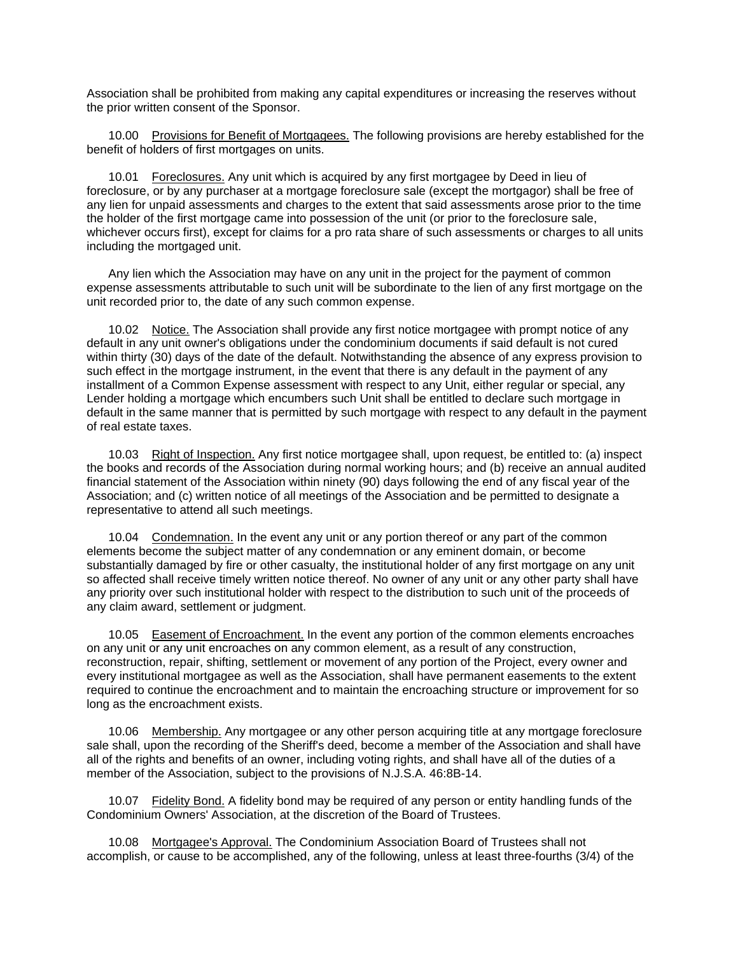Association shall be prohibited from making any capital expenditures or increasing the reserves without the prior written consent of the Sponsor.

 10.00 Provisions for Benefit of Mortgagees. The following provisions are hereby established for the benefit of holders of first mortgages on units.

 10.01 Foreclosures. Any unit which is acquired by any first mortgagee by Deed in lieu of foreclosure, or by any purchaser at a mortgage foreclosure sale (except the mortgagor) shall be free of any lien for unpaid assessments and charges to the extent that said assessments arose prior to the time the holder of the first mortgage came into possession of the unit (or prior to the foreclosure sale, whichever occurs first), except for claims for a pro rata share of such assessments or charges to all units including the mortgaged unit.

 Any lien which the Association may have on any unit in the project for the payment of common expense assessments attributable to such unit will be subordinate to the lien of any first mortgage on the unit recorded prior to, the date of any such common expense.

 10.02 Notice. The Association shall provide any first notice mortgagee with prompt notice of any default in any unit owner's obligations under the condominium documents if said default is not cured within thirty (30) days of the date of the default. Notwithstanding the absence of any express provision to such effect in the mortgage instrument, in the event that there is any default in the payment of any installment of a Common Expense assessment with respect to any Unit, either regular or special, any Lender holding a mortgage which encumbers such Unit shall be entitled to declare such mortgage in default in the same manner that is permitted by such mortgage with respect to any default in the payment of real estate taxes.

 10.03 Right of Inspection. Any first notice mortgagee shall, upon request, be entitled to: (a) inspect the books and records of the Association during normal working hours; and (b) receive an annual audited financial statement of the Association within ninety (90) days following the end of any fiscal year of the Association; and (c) written notice of all meetings of the Association and be permitted to designate a representative to attend all such meetings.

 10.04 Condemnation. In the event any unit or any portion thereof or any part of the common elements become the subject matter of any condemnation or any eminent domain, or become substantially damaged by fire or other casualty, the institutional holder of any first mortgage on any unit so affected shall receive timely written notice thereof. No owner of any unit or any other party shall have any priority over such institutional holder with respect to the distribution to such unit of the proceeds of any claim award, settlement or judgment.

 10.05 Easement of Encroachment. In the event any portion of the common elements encroaches on any unit or any unit encroaches on any common element, as a result of any construction, reconstruction, repair, shifting, settlement or movement of any portion of the Project, every owner and every institutional mortgagee as well as the Association, shall have permanent easements to the extent required to continue the encroachment and to maintain the encroaching structure or improvement for so long as the encroachment exists.

 10.06 Membership. Any mortgagee or any other person acquiring title at any mortgage foreclosure sale shall, upon the recording of the Sheriff's deed, become a member of the Association and shall have all of the rights and benefits of an owner, including voting rights, and shall have all of the duties of a member of the Association, subject to the provisions of N.J.S.A. 46:8B-14.

 10.07 Fidelity Bond. A fidelity bond may be required of any person or entity handling funds of the Condominium Owners' Association, at the discretion of the Board of Trustees.

 10.08 Mortgagee's Approval. The Condominium Association Board of Trustees shall not accomplish, or cause to be accomplished, any of the following, unless at least three-fourths (3/4) of the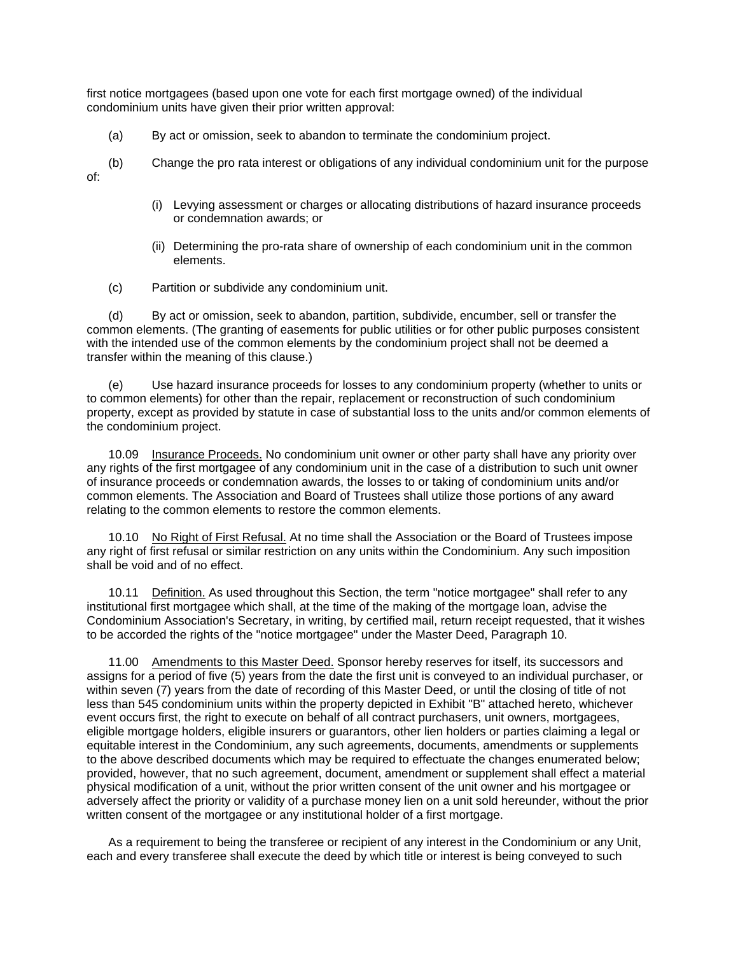first notice mortgagees (based upon one vote for each first mortgage owned) of the individual condominium units have given their prior written approval:

- (a) By act or omission, seek to abandon to terminate the condominium project.
- (b) Change the pro rata interest or obligations of any individual condominium unit for the purpose of:
	- (i) Levying assessment or charges or allocating distributions of hazard insurance proceeds or condemnation awards; or
	- (ii) Determining the pro-rata share of ownership of each condominium unit in the common elements.
	- (c) Partition or subdivide any condominium unit.

 (d) By act or omission, seek to abandon, partition, subdivide, encumber, sell or transfer the common elements. (The granting of easements for public utilities or for other public purposes consistent with the intended use of the common elements by the condominium project shall not be deemed a transfer within the meaning of this clause.)

 (e) Use hazard insurance proceeds for losses to any condominium property (whether to units or to common elements) for other than the repair, replacement or reconstruction of such condominium property, except as provided by statute in case of substantial loss to the units and/or common elements of the condominium project.

 10.09 Insurance Proceeds. No condominium unit owner or other party shall have any priority over any rights of the first mortgagee of any condominium unit in the case of a distribution to such unit owner of insurance proceeds or condemnation awards, the losses to or taking of condominium units and/or common elements. The Association and Board of Trustees shall utilize those portions of any award relating to the common elements to restore the common elements.

 10.10 No Right of First Refusal. At no time shall the Association or the Board of Trustees impose any right of first refusal or similar restriction on any units within the Condominium. Any such imposition shall be void and of no effect.

 10.11 Definition. As used throughout this Section, the term "notice mortgagee" shall refer to any institutional first mortgagee which shall, at the time of the making of the mortgage loan, advise the Condominium Association's Secretary, in writing, by certified mail, return receipt requested, that it wishes to be accorded the rights of the "notice mortgagee" under the Master Deed, Paragraph 10.

 11.00 Amendments to this Master Deed. Sponsor hereby reserves for itself, its successors and assigns for a period of five (5) years from the date the first unit is conveyed to an individual purchaser, or within seven (7) years from the date of recording of this Master Deed, or until the closing of title of not less than 545 condominium units within the property depicted in Exhibit "B" attached hereto, whichever event occurs first, the right to execute on behalf of all contract purchasers, unit owners, mortgagees, eligible mortgage holders, eligible insurers or guarantors, other lien holders or parties claiming a legal or equitable interest in the Condominium, any such agreements, documents, amendments or supplements to the above described documents which may be required to effectuate the changes enumerated below; provided, however, that no such agreement, document, amendment or supplement shall effect a material physical modification of a unit, without the prior written consent of the unit owner and his mortgagee or adversely affect the priority or validity of a purchase money lien on a unit sold hereunder, without the prior written consent of the mortgagee or any institutional holder of a first mortgage.

 As a requirement to being the transferee or recipient of any interest in the Condominium or any Unit, each and every transferee shall execute the deed by which title or interest is being conveyed to such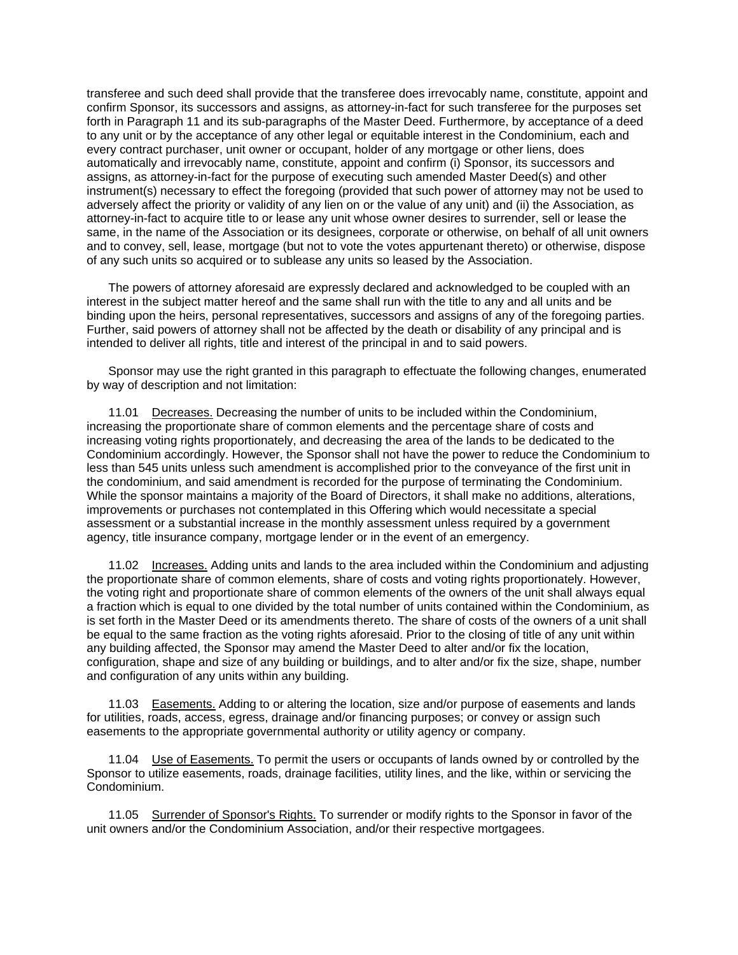transferee and such deed shall provide that the transferee does irrevocably name, constitute, appoint and confirm Sponsor, its successors and assigns, as attorney-in-fact for such transferee for the purposes set forth in Paragraph 11 and its sub-paragraphs of the Master Deed. Furthermore, by acceptance of a deed to any unit or by the acceptance of any other legal or equitable interest in the Condominium, each and every contract purchaser, unit owner or occupant, holder of any mortgage or other liens, does automatically and irrevocably name, constitute, appoint and confirm (i) Sponsor, its successors and assigns, as attorney-in-fact for the purpose of executing such amended Master Deed(s) and other instrument(s) necessary to effect the foregoing (provided that such power of attorney may not be used to adversely affect the priority or validity of any lien on or the value of any unit) and (ii) the Association, as attorney-in-fact to acquire title to or lease any unit whose owner desires to surrender, sell or lease the same, in the name of the Association or its designees, corporate or otherwise, on behalf of all unit owners and to convey, sell, lease, mortgage (but not to vote the votes appurtenant thereto) or otherwise, dispose of any such units so acquired or to sublease any units so leased by the Association.

 The powers of attorney aforesaid are expressly declared and acknowledged to be coupled with an interest in the subject matter hereof and the same shall run with the title to any and all units and be binding upon the heirs, personal representatives, successors and assigns of any of the foregoing parties. Further, said powers of attorney shall not be affected by the death or disability of any principal and is intended to deliver all rights, title and interest of the principal in and to said powers.

 Sponsor may use the right granted in this paragraph to effectuate the following changes, enumerated by way of description and not limitation:

 11.01 Decreases. Decreasing the number of units to be included within the Condominium, increasing the proportionate share of common elements and the percentage share of costs and increasing voting rights proportionately, and decreasing the area of the lands to be dedicated to the Condominium accordingly. However, the Sponsor shall not have the power to reduce the Condominium to less than 545 units unless such amendment is accomplished prior to the conveyance of the first unit in the condominium, and said amendment is recorded for the purpose of terminating the Condominium. While the sponsor maintains a majority of the Board of Directors, it shall make no additions, alterations, improvements or purchases not contemplated in this Offering which would necessitate a special assessment or a substantial increase in the monthly assessment unless required by a government agency, title insurance company, mortgage lender or in the event of an emergency.

 11.02 Increases. Adding units and lands to the area included within the Condominium and adjusting the proportionate share of common elements, share of costs and voting rights proportionately. However, the voting right and proportionate share of common elements of the owners of the unit shall always equal a fraction which is equal to one divided by the total number of units contained within the Condominium, as is set forth in the Master Deed or its amendments thereto. The share of costs of the owners of a unit shall be equal to the same fraction as the voting rights aforesaid. Prior to the closing of title of any unit within any building affected, the Sponsor may amend the Master Deed to alter and/or fix the location, configuration, shape and size of any building or buildings, and to alter and/or fix the size, shape, number and configuration of any units within any building.

 11.03 Easements. Adding to or altering the location, size and/or purpose of easements and lands for utilities, roads, access, egress, drainage and/or financing purposes; or convey or assign such easements to the appropriate governmental authority or utility agency or company.

 11.04 Use of Easements. To permit the users or occupants of lands owned by or controlled by the Sponsor to utilize easements, roads, drainage facilities, utility lines, and the like, within or servicing the Condominium.

 11.05 Surrender of Sponsor's Rights. To surrender or modify rights to the Sponsor in favor of the unit owners and/or the Condominium Association, and/or their respective mortgagees.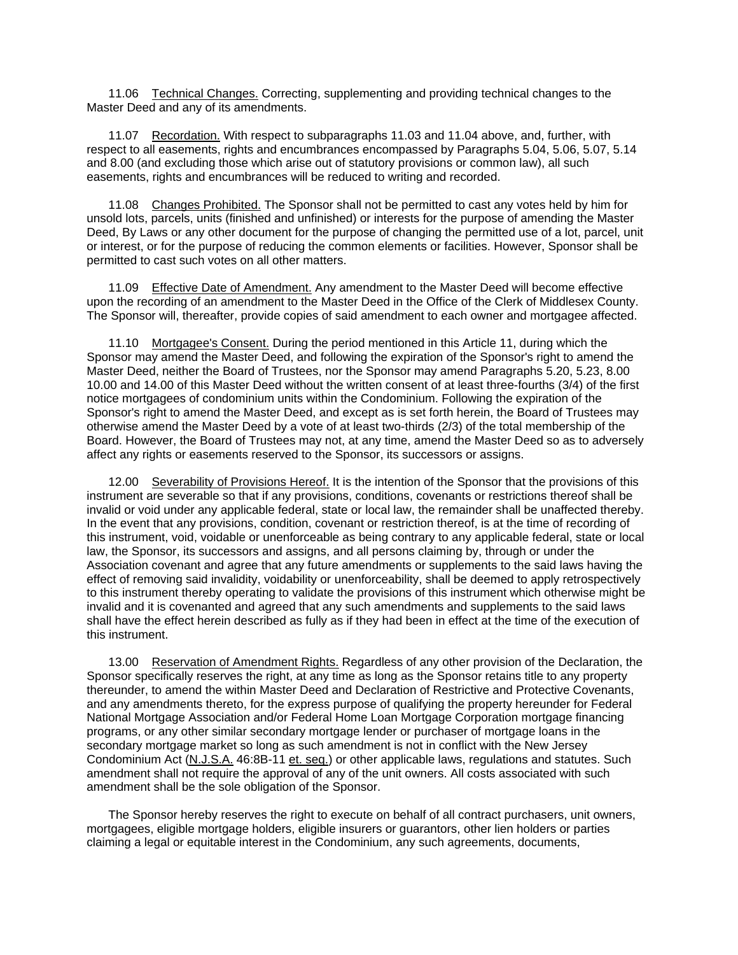11.06 Technical Changes. Correcting, supplementing and providing technical changes to the Master Deed and any of its amendments.

 11.07 Recordation. With respect to subparagraphs 11.03 and 11.04 above, and, further, with respect to all easements, rights and encumbrances encompassed by Paragraphs 5.04, 5.06, 5.07, 5.14 and 8.00 (and excluding those which arise out of statutory provisions or common law), all such easements, rights and encumbrances will be reduced to writing and recorded.

 11.08 Changes Prohibited. The Sponsor shall not be permitted to cast any votes held by him for unsold lots, parcels, units (finished and unfinished) or interests for the purpose of amending the Master Deed, By Laws or any other document for the purpose of changing the permitted use of a lot, parcel, unit or interest, or for the purpose of reducing the common elements or facilities. However, Sponsor shall be permitted to cast such votes on all other matters.

 11.09 Effective Date of Amendment. Any amendment to the Master Deed will become effective upon the recording of an amendment to the Master Deed in the Office of the Clerk of Middlesex County. The Sponsor will, thereafter, provide copies of said amendment to each owner and mortgagee affected.

 11.10 Mortgagee's Consent. During the period mentioned in this Article 11, during which the Sponsor may amend the Master Deed, and following the expiration of the Sponsor's right to amend the Master Deed, neither the Board of Trustees, nor the Sponsor may amend Paragraphs 5.20, 5.23, 8.00 10.00 and 14.00 of this Master Deed without the written consent of at least three-fourths (3/4) of the first notice mortgagees of condominium units within the Condominium. Following the expiration of the Sponsor's right to amend the Master Deed, and except as is set forth herein, the Board of Trustees may otherwise amend the Master Deed by a vote of at least two-thirds (2/3) of the total membership of the Board. However, the Board of Trustees may not, at any time, amend the Master Deed so as to adversely affect any rights or easements reserved to the Sponsor, its successors or assigns.

 12.00 Severability of Provisions Hereof. It is the intention of the Sponsor that the provisions of this instrument are severable so that if any provisions, conditions, covenants or restrictions thereof shall be invalid or void under any applicable federal, state or local law, the remainder shall be unaffected thereby. In the event that any provisions, condition, covenant or restriction thereof, is at the time of recording of this instrument, void, voidable or unenforceable as being contrary to any applicable federal, state or local law, the Sponsor, its successors and assigns, and all persons claiming by, through or under the Association covenant and agree that any future amendments or supplements to the said laws having the effect of removing said invalidity, voidability or unenforceability, shall be deemed to apply retrospectively to this instrument thereby operating to validate the provisions of this instrument which otherwise might be invalid and it is covenanted and agreed that any such amendments and supplements to the said laws shall have the effect herein described as fully as if they had been in effect at the time of the execution of this instrument.

 13.00 Reservation of Amendment Rights. Regardless of any other provision of the Declaration, the Sponsor specifically reserves the right, at any time as long as the Sponsor retains title to any property thereunder, to amend the within Master Deed and Declaration of Restrictive and Protective Covenants, and any amendments thereto, for the express purpose of qualifying the property hereunder for Federal National Mortgage Association and/or Federal Home Loan Mortgage Corporation mortgage financing programs, or any other similar secondary mortgage lender or purchaser of mortgage loans in the secondary mortgage market so long as such amendment is not in conflict with the New Jersey Condominium Act (N.J.S.A. 46:8B-11 et. seq.) or other applicable laws, regulations and statutes. Such amendment shall not require the approval of any of the unit owners. All costs associated with such amendment shall be the sole obligation of the Sponsor.

 The Sponsor hereby reserves the right to execute on behalf of all contract purchasers, unit owners, mortgagees, eligible mortgage holders, eligible insurers or guarantors, other lien holders or parties claiming a legal or equitable interest in the Condominium, any such agreements, documents,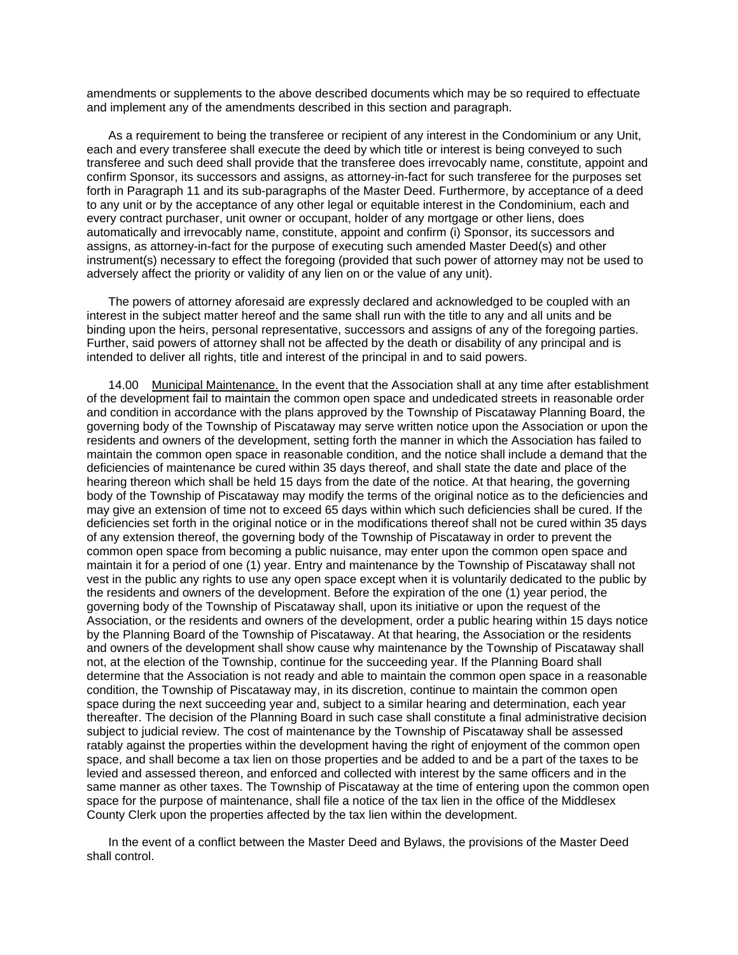amendments or supplements to the above described documents which may be so required to effectuate and implement any of the amendments described in this section and paragraph.

 As a requirement to being the transferee or recipient of any interest in the Condominium or any Unit, each and every transferee shall execute the deed by which title or interest is being conveyed to such transferee and such deed shall provide that the transferee does irrevocably name, constitute, appoint and confirm Sponsor, its successors and assigns, as attorney-in-fact for such transferee for the purposes set forth in Paragraph 11 and its sub-paragraphs of the Master Deed. Furthermore, by acceptance of a deed to any unit or by the acceptance of any other legal or equitable interest in the Condominium, each and every contract purchaser, unit owner or occupant, holder of any mortgage or other liens, does automatically and irrevocably name, constitute, appoint and confirm (i) Sponsor, its successors and assigns, as attorney-in-fact for the purpose of executing such amended Master Deed(s) and other instrument(s) necessary to effect the foregoing (provided that such power of attorney may not be used to adversely affect the priority or validity of any lien on or the value of any unit).

 The powers of attorney aforesaid are expressly declared and acknowledged to be coupled with an interest in the subject matter hereof and the same shall run with the title to any and all units and be binding upon the heirs, personal representative, successors and assigns of any of the foregoing parties. Further, said powers of attorney shall not be affected by the death or disability of any principal and is intended to deliver all rights, title and interest of the principal in and to said powers.

 14.00 Municipal Maintenance. In the event that the Association shall at any time after establishment of the development fail to maintain the common open space and undedicated streets in reasonable order and condition in accordance with the plans approved by the Township of Piscataway Planning Board, the governing body of the Township of Piscataway may serve written notice upon the Association or upon the residents and owners of the development, setting forth the manner in which the Association has failed to maintain the common open space in reasonable condition, and the notice shall include a demand that the deficiencies of maintenance be cured within 35 days thereof, and shall state the date and place of the hearing thereon which shall be held 15 days from the date of the notice. At that hearing, the governing body of the Township of Piscataway may modify the terms of the original notice as to the deficiencies and may give an extension of time not to exceed 65 days within which such deficiencies shall be cured. If the deficiencies set forth in the original notice or in the modifications thereof shall not be cured within 35 days of any extension thereof, the governing body of the Township of Piscataway in order to prevent the common open space from becoming a public nuisance, may enter upon the common open space and maintain it for a period of one (1) year. Entry and maintenance by the Township of Piscataway shall not vest in the public any rights to use any open space except when it is voluntarily dedicated to the public by the residents and owners of the development. Before the expiration of the one (1) year period, the governing body of the Township of Piscataway shall, upon its initiative or upon the request of the Association, or the residents and owners of the development, order a public hearing within 15 days notice by the Planning Board of the Township of Piscataway. At that hearing, the Association or the residents and owners of the development shall show cause why maintenance by the Township of Piscataway shall not, at the election of the Township, continue for the succeeding year. If the Planning Board shall determine that the Association is not ready and able to maintain the common open space in a reasonable condition, the Township of Piscataway may, in its discretion, continue to maintain the common open space during the next succeeding year and, subject to a similar hearing and determination, each year thereafter. The decision of the Planning Board in such case shall constitute a final administrative decision subject to judicial review. The cost of maintenance by the Township of Piscataway shall be assessed ratably against the properties within the development having the right of enjoyment of the common open space, and shall become a tax lien on those properties and be added to and be a part of the taxes to be levied and assessed thereon, and enforced and collected with interest by the same officers and in the same manner as other taxes. The Township of Piscataway at the time of entering upon the common open space for the purpose of maintenance, shall file a notice of the tax lien in the office of the Middlesex County Clerk upon the properties affected by the tax lien within the development.

 In the event of a conflict between the Master Deed and Bylaws, the provisions of the Master Deed shall control.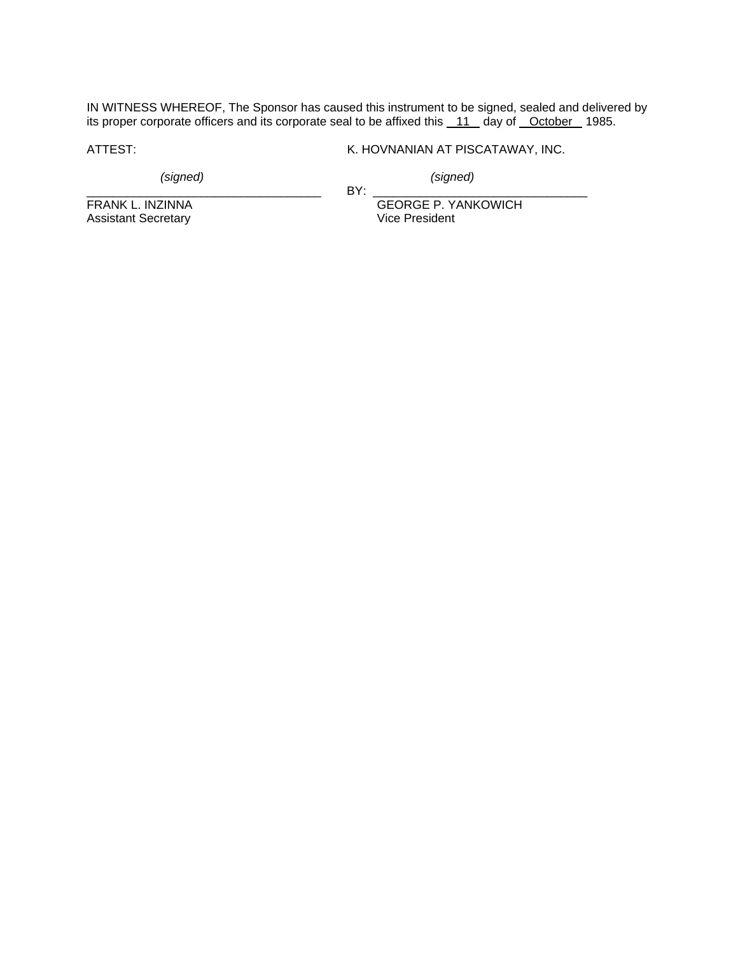IN WITNESS WHEREOF, The Sponsor has caused this instrument to be signed, sealed and delivered by its proper corporate officers and its corporate seal to be affixed this 11 day of October 1985.

\_\_\_\_\_\_\_\_\_\_\_\_\_\_\_\_\_\_\_\_\_\_\_\_\_\_\_\_\_\_\_\_\_\_\_ BY: \_\_\_\_\_\_\_\_\_\_\_\_\_\_\_\_\_\_\_\_\_\_\_\_\_\_\_\_\_\_\_\_

ATTEST: K. HOVNANIAN AT PISCATAWAY, INC.

*(signed) (signed)* 

Assistant Secretary

FRANK L. INZINNA<br>Assistant Secretary Calculation Circle President<br>Vice President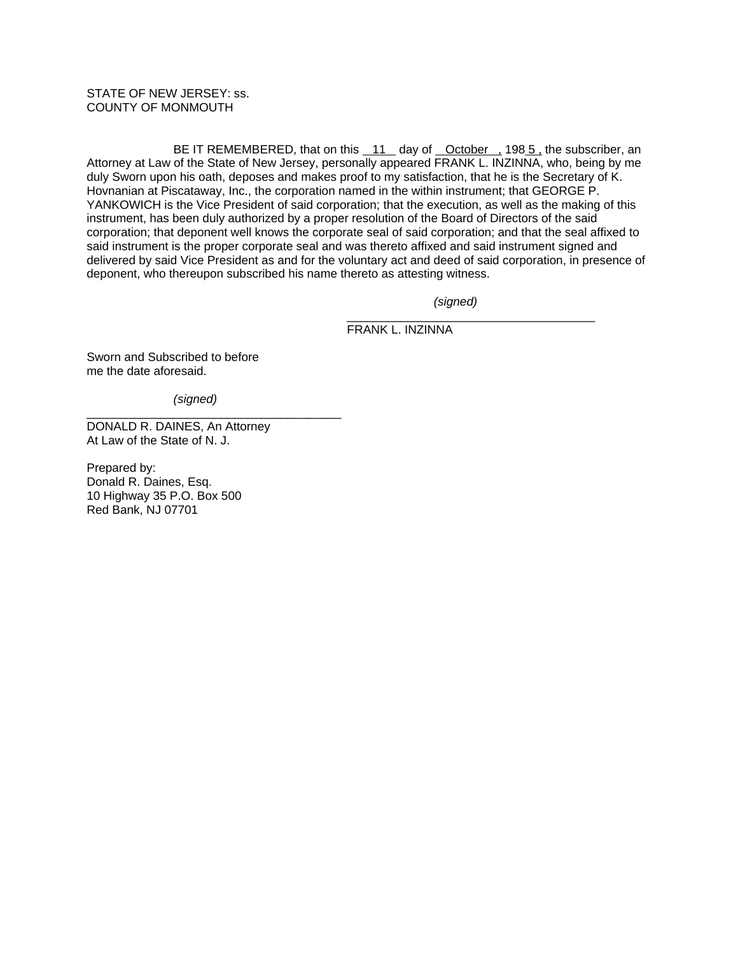STATE OF NEW JERSEY: ss. COUNTY OF MONMOUTH

 BE IT REMEMBERED, that on this 11 day of October , 198 5 , the subscriber, an Attorney at Law of the State of New Jersey, personally appeared FRANK L. INZINNA, who, being by me duly Sworn upon his oath, deposes and makes proof to my satisfaction, that he is the Secretary of K. Hovnanian at Piscataway, Inc., the corporation named in the within instrument; that GEORGE P. YANKOWICH is the Vice President of said corporation; that the execution, as well as the making of this instrument, has been duly authorized by a proper resolution of the Board of Directors of the said corporation; that deponent well knows the corporate seal of said corporation; and that the seal affixed to said instrument is the proper corporate seal and was thereto affixed and said instrument signed and delivered by said Vice President as and for the voluntary act and deed of said corporation, in presence of deponent, who thereupon subscribed his name thereto as attesting witness.

 $\frac{1}{2}$  ,  $\frac{1}{2}$  ,  $\frac{1}{2}$  ,  $\frac{1}{2}$  ,  $\frac{1}{2}$  ,  $\frac{1}{2}$  ,  $\frac{1}{2}$  ,  $\frac{1}{2}$  ,  $\frac{1}{2}$  ,  $\frac{1}{2}$  ,  $\frac{1}{2}$  ,  $\frac{1}{2}$  ,  $\frac{1}{2}$  ,  $\frac{1}{2}$  ,  $\frac{1}{2}$  ,  $\frac{1}{2}$  ,  $\frac{1}{2}$  ,  $\frac{1}{2}$  ,  $\frac{1$ 

*(signed)* 

FRANK L. INZINNA

Sworn and Subscribed to before me the date aforesaid.

*(signed)* 

\_\_\_\_\_\_\_\_\_\_\_\_\_\_\_\_\_\_\_\_\_\_\_\_\_\_\_\_\_\_\_\_\_\_\_\_\_\_

DONALD R. DAINES, An Attorney At Law of the State of N. J.

Prepared by: Donald R. Daines, Esq. 10 Highway 35 P.O. Box 500 Red Bank, NJ 07701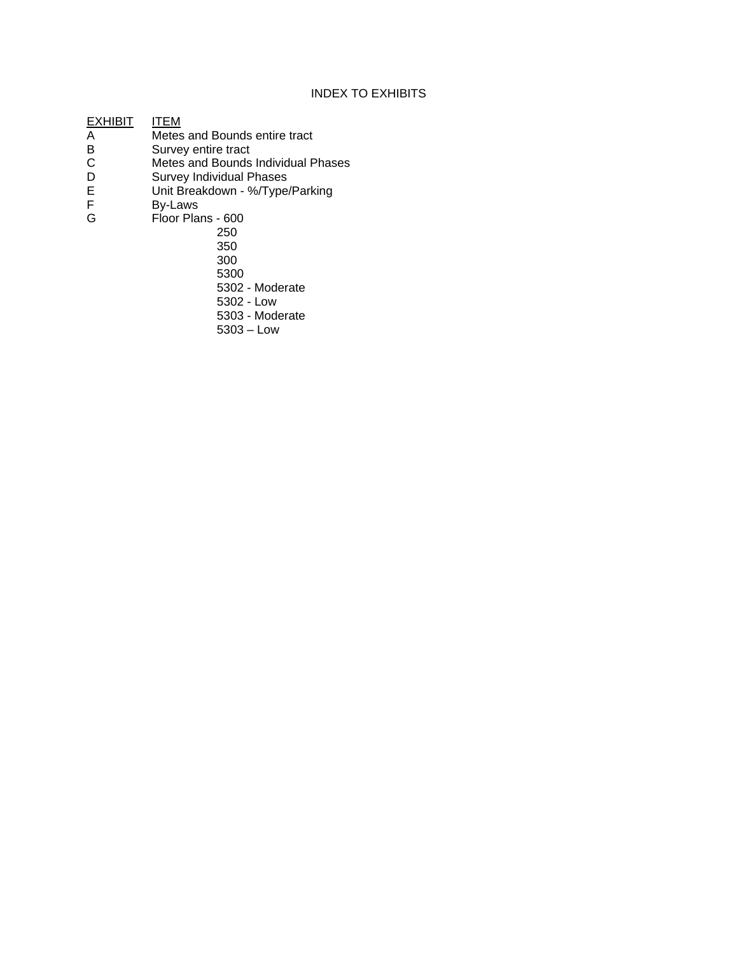## INDEX TO EXHIBITS

EXHIBIT **ITEM**<br>A Metes A Metes and Bounds entire tract<br>B Survey entire tract B Survey entire tract<br>C Metes and Bounds C Metes and Bounds Individual Phases<br>D Survey Individual Phases D Survey Individual Phases<br>E Unit Breakdown - %/Type<br>F By-Laws Unit Breakdown - %/Type/Parking F By-Laws<br>G Floor Pla Floor Plans - 600 250 350 300 5300

5302 - Moderate

- 5302 Low
	- 5303 Moderate
	- 5303 Low